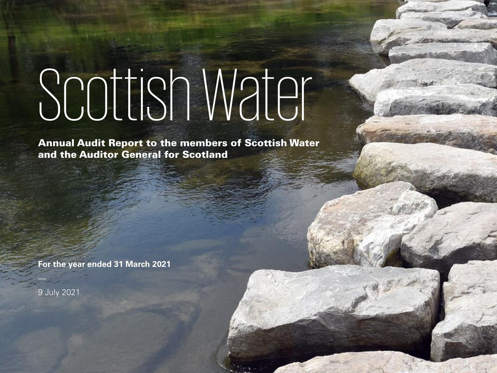# Scottish Water

Annual Audit Report to the members of Scottish Water and the Auditor General for Scotland

Cooperative ("KPMG International"), a Swiss entity. All rights reserved.

© 2019 KPMG LLP, a UK limited liability partnership and a member firm of the KPMG network of independent member firms affiliated with KPMG International

**For the year ended 31 March 2021**

9 July 2021

 $\frac{1}{\sqrt{2}}$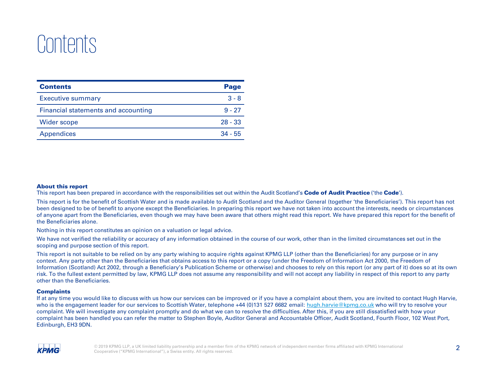# Contents

| <b>Contents</b>                     | Page      |
|-------------------------------------|-----------|
| <b>Executive summary</b>            | $3 - 8$   |
| Financial statements and accounting | $9 - 27$  |
| Wider scope                         | $28 - 33$ |
| <b>Appendices</b>                   | $34 - 55$ |

### About this report

This report has been prepared in accordance with the responsibilities set out within the Audit Scotland's **Code of Audit Practice** ('the **Code'**).

This report is for the benefit of Scottish Water and is made available to Audit Scotland and the Auditor General (together 'the Beneficiaries'). This report has not been designed to be of benefit to anyone except the Beneficiaries. In preparing this report we have not taken into account the interests, needs or circumstances of anyone apart from the Beneficiaries, even though we may have been aware that others might read this report. We have prepared this report for the benefit of the Beneficiaries alone.

Nothing in this report constitutes an opinion on a valuation or legal advice.

We have not verified the reliability or accuracy of any information obtained in the course of our work, other than in the limited circumstances set out in the scoping and purpose section of this report.

This report is not suitable to be relied on by any party wishing to acquire rights against KPMG LLP (other than the Beneficiaries) for any purpose or in any context. Any party other than the Beneficiaries that obtains access to this report or a copy (under the Freedom of Information Act 2000, the Freedom of Information (Scotland) Act 2002, through a Beneficiary's Publication Scheme or otherwise) and chooses to rely on this report (or any part of it) does so at its own risk. To the fullest extent permitted by law, KPMG LLP does not assume any responsibility and will not accept any liability in respect of this report to any party other than the Beneficiaries.

#### **Complaints**

If at any time you would like to discuss with us how our services can be improved or if you have a complaint about them, you are invited to contact Hugh Harvie, who is the engagement leader for our services to Scottish Water, telephone +44 (0)131 527 6682 email: [hugh.harvie@kpmg.co.uk](mailto:hugh.harvie@kpmg.co.uk) who will try to resolve your complaint. We will investigate any complaint promptly and do what we can to resolve the difficulties. After this, if you are still dissatisfied with how your complaint has been handled you can refer the matter to Stephen Boyle, Auditor General and Accountable Officer, Audit Scotland, Fourth Floor, 102 West Port, Edinburgh, EH3 9DN.

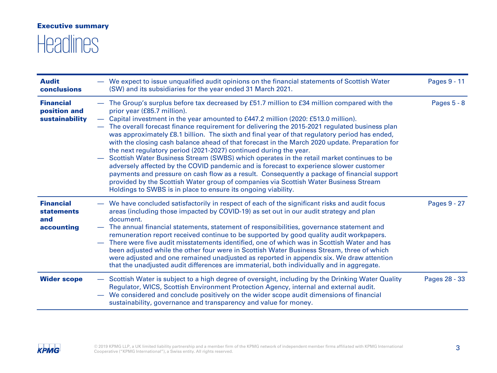### Executive summary

# **Headlines**

| <b>Audit</b><br><b>conclusions</b>                         |                          | We expect to issue unqualified audit opinions on the financial statements of Scottish Water<br>(SW) and its subsidiaries for the year ended 31 March 2021.                                                                                                                                                                                                                                                                                                                                                                                                                                                                                                                                                                                                                                                                                                                                                                                                                                                                             | Pages 9 - 11  |
|------------------------------------------------------------|--------------------------|----------------------------------------------------------------------------------------------------------------------------------------------------------------------------------------------------------------------------------------------------------------------------------------------------------------------------------------------------------------------------------------------------------------------------------------------------------------------------------------------------------------------------------------------------------------------------------------------------------------------------------------------------------------------------------------------------------------------------------------------------------------------------------------------------------------------------------------------------------------------------------------------------------------------------------------------------------------------------------------------------------------------------------------|---------------|
| <b>Financial</b><br>position and<br>sustainability         | $\overline{\phantom{0}}$ | The Group's surplus before tax decreased by £51.7 million to £34 million compared with the<br>prior year (£85.7 million).<br>Capital investment in the year amounted to £447.2 million (2020: £513.0 million).<br>The overall forecast finance requirement for delivering the 2015-2021 regulated business plan<br>was approximately £8.1 billion. The sixth and final year of that regulatory period has ended,<br>with the closing cash balance ahead of that forecast in the March 2020 update. Preparation for<br>the next regulatory period (2021-2027) continued during the year.<br>Scottish Water Business Stream (SWBS) which operates in the retail market continues to be<br>adversely affected by the COVID pandemic and is forecast to experience slower customer<br>payments and pressure on cash flow as a result. Consequently a package of financial support<br>provided by the Scottish Water group of companies via Scottish Water Business Stream<br>Holdings to SWBS is in place to ensure its ongoing viability. | Pages 5 - 8   |
| <b>Financial</b><br><b>statements</b><br>and<br>accounting |                          | We have concluded satisfactorily in respect of each of the significant risks and audit focus<br>areas (including those impacted by COVID-19) as set out in our audit strategy and plan<br>document.<br>The annual financial statements, statement of responsibilities, governance statement and<br>remuneration report received continue to be supported by good quality audit workpapers.<br>There were five audit misstatements identified, one of which was in Scottish Water and has<br>been adjusted while the other four were in Scottish Water Business Stream, three of which<br>were adjusted and one remained unadjusted as reported in appendix six. We draw attention<br>that the unadjusted audit differences are immaterial, both individually and in aggregate.                                                                                                                                                                                                                                                         | Pages 9 - 27  |
| <b>Wider scope</b>                                         | $\overline{\phantom{0}}$ | Scottish Water is subject to a high degree of oversight, including by the Drinking Water Quality<br>Regulator, WICS, Scottish Environment Protection Agency, internal and external audit.<br>We considered and conclude positively on the wider scope audit dimensions of financial<br>sustainability, governance and transparency and value for money.                                                                                                                                                                                                                                                                                                                                                                                                                                                                                                                                                                                                                                                                                | Pages 28 - 33 |

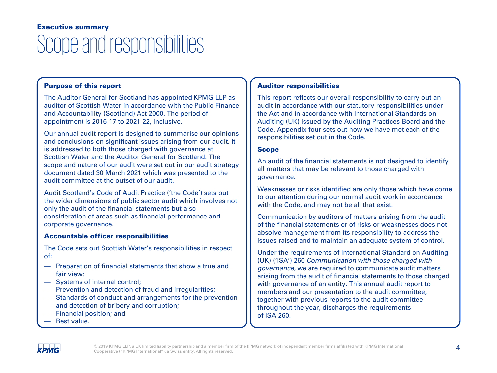### Scope and responsibilities Executive summary

### Purpose of this report

The Auditor General for Scotland has appointed KPMG LLP as auditor of Scottish Water in accordance with the Public Finance and Accountability (Scotland) Act 2000. The period of appointment is 2016-17 to 2021-22, inclusive.

Our annual audit report is designed to summarise our opinions and conclusions on significant issues arising from our audit. It is addressed to both those charged with governance at Scottish Water and the Auditor General for Scotland. The scope and nature of our audit were set out in our audit strategy document dated 30 March 2021 which was presented to the audit committee at the outset of our audit.

Audit Scotland's Code of Audit Practice ('the Code') sets out the wider dimensions of public sector audit which involves not only the audit of the financial statements but also consideration of areas such as financial performance and corporate governance.

### Accountable officer responsibilities

The Code sets out Scottish Water's responsibilities in respect of:

- Preparation of financial statements that show a true and fair view;
- Systems of internal control;
- Prevention and detection of fraud and irregularities;
- Standards of conduct and arrangements for the prevention and detection of bribery and corruption;
- Financial position; and
- Best value.

### Auditor responsibilities

This report reflects our overall responsibility to carry out an audit in accordance with our statutory responsibilities under the Act and in accordance with International Standards on Auditing (UK) issued by the Auditing Practices Board and the Code. Appendix four sets out how we have met each of the responsibilities set out in the Code.

### Scope

An audit of the financial statements is not designed to identify all matters that may be relevant to those charged with governance.

Weaknesses or risks identified are only those which have come to our attention during our normal audit work in accordance with the Code, and may not be all that exist.

Communication by auditors of matters arising from the audit of the financial statements or of risks or weaknesses does not absolve management from its responsibility to address the issues raised and to maintain an adequate system of control.

Under the requirements of International Standard on Auditing (UK) ('ISA') 260 Communication with those charged with governance, we are required to communicate audit matters arising from the audit of financial statements to those charged with governance of an entity. This annual audit report to members and our presentation to the audit committee, together with previous reports to the audit committee throughout the year, discharges the requirements of ISA 260.

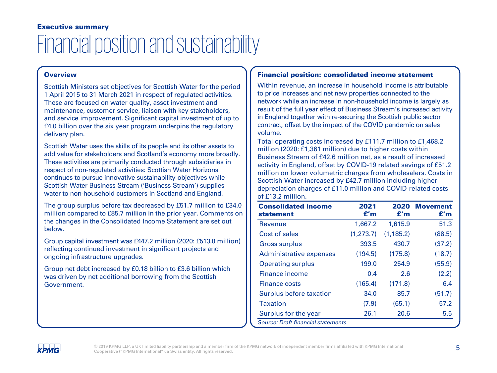### Financial position and sustainability Executive summary

### **Overview**

Scottish Ministers set objectives for Scottish Water for the period 1 April 2015 to 31 March 2021 in respect of regulated activities. These are focused on water quality, asset investment and maintenance, customer service, liaison with key stakeholders, and service improvement. Significant capital investment of up to £4.0 billion over the six year program underpins the regulatory delivery plan.

Scottish Water uses the skills of its people and its other assets to add value for stakeholders and Scotland's economy more broadly. These activities are primarily conducted through subsidiaries in respect of non-regulated activities: Scottish Water Horizons continues to pursue innovative sustainability objectives while Scottish Water Business Stream ('Business Stream') supplies water to non-household customers in Scotland and England.

The group surplus before tax decreased by £51.7 million to £34.0 million compared to £85.7 million in the prior year. Comments on the changes in the Consolidated Income Statement are set out below.

Group capital investment was £447.2 million (2020: £513.0 million) reflecting continued investment in significant projects and ongoing infrastructure upgrades.

Group net debt increased by £0.18 billion to £3.6 billion which was driven by net additional borrowing from the Scottish Government.

### Financial position: consolidated income statement

Within revenue, an increase in household income is attributable to price increases and net new properties connected to the network while an increase in non-household income is largely as result of the full year effect of Business Stream's increased activity in England together with re-securing the Scottish public sector contract, offset by the impact of the COVID pandemic on sales volume.

Total operating costs increased by £111.7 million to £1,468.2 million (2020: £1,361 million) due to higher costs within Business Stream of £42.6 million net, as a result of increased activity in England, offset by COVID-19 related savings of £51.2 million on lower volumetric charges from wholesalers. Costs in Scottish Water increased by £42.7 million including higher depreciation charges of £11.0 million and COVID-related costs of £13.2 million.

| <b>Consolidated income</b><br>statement | 2021<br>f'm | 2020<br>£'m | <b>Movement</b><br>£'m |  |  |
|-----------------------------------------|-------------|-------------|------------------------|--|--|
| Revenue                                 | 1,667.2     | 1,615.9     | 51.3                   |  |  |
| Cost of sales                           | (1, 273.7)  | (1, 185.2)  | (88.5)                 |  |  |
| <b>Gross surplus</b>                    | 393.5       | 430.7       | (37.2)                 |  |  |
| Administrative expenses                 | (194.5)     | (175.8)     | (18.7)                 |  |  |
| <b>Operating surplus</b>                | 199.0       | 254.9       | (55.9)                 |  |  |
| Finance income                          | 0.4         | 2.6         | (2.2)                  |  |  |
| <b>Finance costs</b>                    | (165.4)     | (171.8)     | 6.4                    |  |  |
| Surplus before taxation                 | 34.0        | 85.7        | (51.7)                 |  |  |
| <b>Taxation</b>                         | (7.9)       | (65.1)      | 57.2                   |  |  |
| Surplus for the year                    | 26.1        | 20.6        | 5.5                    |  |  |
| Source: Draft financial statements      |             |             |                        |  |  |

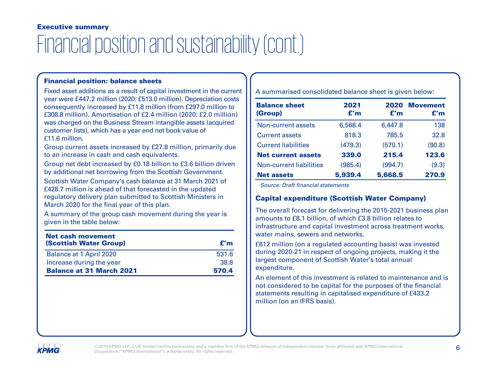### Financial position and sustainability (cont.) Executive summary

### Financial position: balance sheets

Fixed asset additions as a result of capital investment in the current year were £447.2 million (2020: £513.0 million). Depreciation costs consequently increased by £11.8 million (from £297.0 million to £308.8 million). Amortisation of £2.4 million (2020: £2.0 million) was charged on the Business Stream intangible assets (acquired customer lists), which has a year end net book value of £11.6 million.

Group current assets increased by £27.8 million, primarily due to an increase in cash and cash equivalents.

Group net debt increased by £0.18 billion to £3.6 billion driven by additional net borrowing from the Scottish Government.

Scottish Water Company's cash balance at 31 March 2021 of £428.7 million is ahead of that forecasted in the updated regulatory delivery plan submitted to Scottish Ministers in March 2020 for the final year of this plan.

A summary of the group cash movement during the year is given in the table below:

| Net cash movement<br><b>(Scottish Water Group)</b> | f'm   |
|----------------------------------------------------|-------|
| Balance at 1 April 2020                            | 531.6 |
| Increase during the year                           | 38.8  |
| <b>Balance at 31 March 2021</b>                    | 570.4 |

A summarised consolidated balance sheet is given below:

| <b>Balance sheet</b><br>(Group) | 2021<br>£'m | 2020<br>f'm | Movement<br>£'m |
|---------------------------------|-------------|-------------|-----------------|
| Non-current assets              | 6,568.4     | 6,447.8     | 138             |
| <b>Current assets</b>           | 818.3       | 785.5       | 32.8            |
| <b>Current liabilities</b>      | (479.3)     | (570.1)     | (90.8)          |
| <b>Net current assets</b>       | 339.0       | 215.4       | 123.6           |
| <b>Non-current liabilities</b>  | (985.4)     | (994.7)     | (9.3)           |
| <b>Net assets</b>               | 5,939.4     | 5,668.5     | 270.9           |

Source: Draft financial statements

### Capital expenditure (Scottish Water Company)

The overall forecast for delivering the 2015-2021 business plan amounts to £8.1 billion, of which £3.8 billion relates to infrastructure and capital investment across treatment works, water mains, sewers and networks.

£612 million (on a regulated accounting basis) was invested during 2020-21 in respect of ongoing projects, making it the largest component of Scottish Water's total annual expenditure.

An element of this investment is related to maintenance and is not considered to be capital for the purposes of the financial statements resulting in capitalised expenditure of £433.2 million (on an IFRS basis).

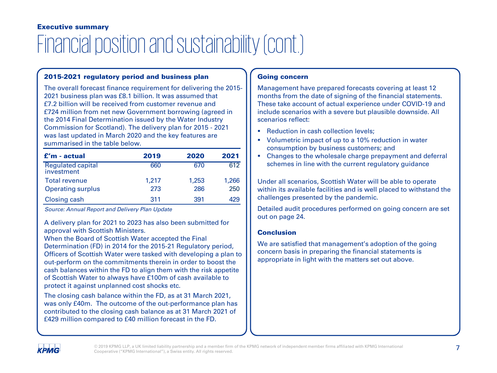# Financial position and sustainability (cont.) Executive summary

### 2015-2021 regulatory period and business plan

The overall forecast finance requirement for delivering the 2015- 2021 business plan was £8.1 billion. It was assumed that £7.2 billion will be received from customer revenue and £724 million from net new Government borrowing (agreed in the 2014 Final Determination issued by the Water Industry Commission for Scotland). The delivery plan for 2015 - 2021 was last updated in March 2020 and the key features are summarised in the table below.

| $f'm$ - actual                         | 2019  | 2020  | 2021  |
|----------------------------------------|-------|-------|-------|
| <b>Regulated capital</b><br>investment | 660   | 670   | 612   |
| <b>Total revenue</b>                   | 1.217 | 1,253 | 1,266 |
| <b>Operating surplus</b>               | 273   | 286   | 250   |
| Closing cash                           | 311   | 391   | 429   |

Source: Annual Report and Delivery Plan Update

A delivery plan for 2021 to 2023 has also been submitted for approval with Scottish Ministers.

When the Board of Scottish Water accepted the Final Determination (FD) in 2014 for the 2015-21 Regulatory period, Officers of Scottish Water were tasked with developing a plan to out-perform on the commitments therein in order to boost the cash balances within the FD to align them with the risk appetite of Scottish Water to always have £100m of cash available to protect it against unplanned cost shocks etc.

The closing cash balance within the FD, as at 31 March 2021, was only £40m. The outcome of the out-performance plan has contributed to the closing cash balance as at 31 March 2021 of £429 million compared to £40 million forecast in the FD.

### Going concern

Management have prepared forecasts covering at least 12 months from the date of signing of the financial statements. These take account of actual experience under COVID-19 and include scenarios with a severe but plausible downside. All scenarios reflect:

- Reduction in cash collection levels:
- Volumetric impact of up to a 10% reduction in water consumption by business customers; and
- Changes to the wholesale charge prepayment and deferral schemes in line with the current regulatory guidance

Under all scenarios, Scottish Water will be able to operate within its available facilities and is well placed to withstand the challenges presented by the pandemic.

Detailed audit procedures performed on going concern are set out on page 24.

### **Conclusion**

We are satisfied that management's adoption of the going concern basis in preparing the financial statements is appropriate in light with the matters set out above.

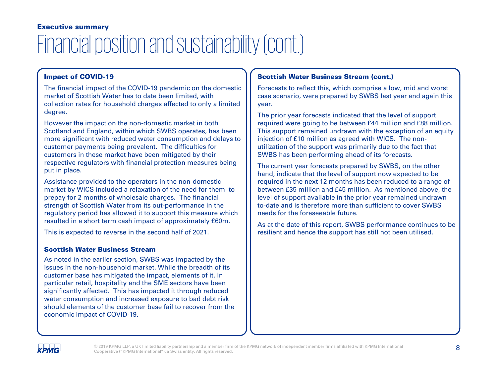# Financial position and sustainability (cont.) Executive summary

### Impact of COVID-19

The financial impact of the COVID-19 pandemic on the domestic market of Scottish Water has to date been limited, with collection rates for household charges affected to only a limited degree.

However the impact on the non-domestic market in both Scotland and England, within which SWBS operates, has been more significant with reduced water consumption and delays to customer payments being prevalent. The difficulties for customers in these market have been mitigated by their respective regulators with financial protection measures being put in place.

Assistance provided to the operators in the non-domestic market by WICS included a relaxation of the need for them to prepay for 2 months of wholesale charges. The financial strength of Scottish Water from its out-performance in the regulatory period has allowed it to support this measure which resulted in a short term cash impact of approximately £60m.

This is expected to reverse in the second half of 2021.

### Scottish Water Business Stream

As noted in the earlier section, SWBS was impacted by the issues in the non-household market. While the breadth of its customer base has mitigated the impact, elements of it, in particular retail, hospitality and the SME sectors have been significantly affected. This has impacted it through reduced water consumption and increased exposure to bad debt risk should elements of the customer base fail to recover from the economic impact of COVID-19.

### Scottish Water Business Stream (cont.)

Forecasts to reflect this, which comprise a low, mid and worst case scenario, were prepared by SWBS last year and again this year.

The prior year forecasts indicated that the level of support required were going to be between £44 million and £88 million. This support remained undrawn with the exception of an equity injection of £10 million as agreed with WICS. The nonutilization of the support was primarily due to the fact that SWBS has been performing ahead of its forecasts.

The current year forecasts prepared by SWBS, on the other hand, indicate that the level of support now expected to be required in the next 12 months has been reduced to a range of between £35 million and £45 million. As mentioned above, the level of support available in the prior year remained undrawn to-date and is therefore more than sufficient to cover SWBS needs for the foreseeable future.

As at the date of this report, SWBS performance continues to be resilient and hence the support has still not been utilised.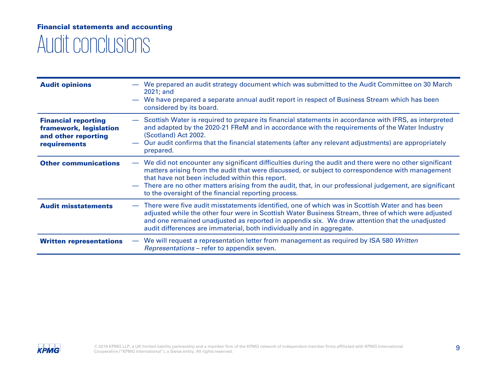### Audit conclusions Financial statements and accounting

| <b>Audit opinions</b>                                                                       | We prepared an audit strategy document which was submitted to the Audit Committee on 30 March<br>$2021$ ; and<br>We have prepared a separate annual audit report in respect of Business Stream which has been<br>considered by its board.                                                                                                                                                                                        |
|---------------------------------------------------------------------------------------------|----------------------------------------------------------------------------------------------------------------------------------------------------------------------------------------------------------------------------------------------------------------------------------------------------------------------------------------------------------------------------------------------------------------------------------|
| <b>Financial reporting</b><br>framework, legislation<br>and other reporting<br>requirements | Scottish Water is required to prepare its financial statements in accordance with IFRS, as interpreted<br>and adapted by the 2020-21 FReM and in accordance with the requirements of the Water Industry<br>(Scotland) Act 2002.<br>Our audit confirms that the financial statements (after any relevant adjustments) are appropriately<br>prepared.                                                                              |
| <b>Other communications</b>                                                                 | We did not encounter any significant difficulties during the audit and there were no other significant<br>matters arising from the audit that were discussed, or subject to correspondence with management<br>that have not been included within this report.<br>There are no other matters arising from the audit, that, in our professional judgement, are significant<br>to the oversight of the financial reporting process. |
| <b>Audit misstatements</b>                                                                  | There were five audit misstatements identified, one of which was in Scottish Water and has been<br>adjusted while the other four were in Scottish Water Business Stream, three of which were adjusted<br>and one remained unadjusted as reported in appendix six. We draw attention that the unadjusted<br>audit differences are immaterial, both individually and in aggregate.                                                 |
| <b>Written representations</b>                                                              | We will request a representation letter from management as required by ISA 580 Written<br>$\overline{\phantom{m}}$<br><i>Representations</i> – refer to appendix seven.                                                                                                                                                                                                                                                          |

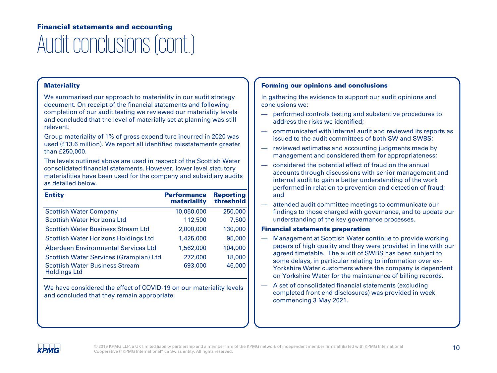### Audit conclusions (cont.) Financial statements and accounting

### **Materiality**

We summarised our approach to materiality in our audit strategy document. On receipt of the financial statements and following completion of our audit testing we reviewed our materiality levels and concluded that the level of materially set at planning was still relevant.

Group materiality of 1% of gross expenditure incurred in 2020 was used (£13.6 million). We report all identified misstatements greater than £250,000.

The levels outlined above are used in respect of the Scottish Water consolidated financial statements. However, lower level statutory materialities have been used for the company and subsidiary audits as detailed below.

| <b>Entity</b>                                                | <b>Performance</b><br>materiality | <b>Reporting</b><br>threshold |
|--------------------------------------------------------------|-----------------------------------|-------------------------------|
| <b>Scottish Water Company</b>                                | 10,050,000                        | 250,000                       |
| <b>Scottish Water Horizons Ltd</b>                           | 112,500                           | 7,500                         |
| <b>Scottish Water Business Stream Ltd</b>                    | 2,000,000                         | 130,000                       |
| <b>Scottish Water Horizons Holdings Ltd</b>                  | 1,425,000                         | 95,000                        |
| <b>Aberdeen Environmental Services Ltd</b>                   | 1.562.000                         | 104,000                       |
| Scottish Water Services (Grampian) Ltd                       | 272,000                           | 18,000                        |
| <b>Scottish Water Business Stream</b><br><b>Holdings Ltd</b> | 693,000                           | 46,000                        |

We have considered the effect of COVID-19 on our materiality levels and concluded that they remain appropriate.

### Forming our opinions and conclusions

In gathering the evidence to support our audit opinions and conclusions we:

- performed controls testing and substantive procedures to address the risks we identified;
- communicated with internal audit and reviewed its reports as issued to the audit committees of both SW and SWBS;
- reviewed estimates and accounting judgments made by management and considered them for appropriateness;
- considered the potential effect of fraud on the annual accounts through discussions with senior management and internal audit to gain a better understanding of the work performed in relation to prevention and detection of fraud; and
- attended audit committee meetings to communicate our findings to those charged with governance, and to update our understanding of the key governance processes.

### Financial statements preparation

- Management at Scottish Water continue to provide working papers of high quality and they were provided in line with our agreed timetable. The audit of SWBS has been subject to some delays, in particular relating to information over ex-Yorkshire Water customers where the company is dependent on Yorkshire Water for the maintenance of billing records.
- A set of consolidated financial statements (excluding completed front end disclosures) was provided in week commencing 3 May 2021.

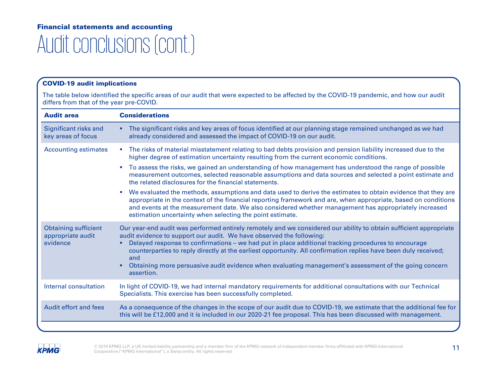### Audit conclusions (cont.) Financial statements and accounting

### COVID-19 audit implications

The table below identified the specific areas of our audit that were expected to be affected by the COVID-19 pandemic, and how our audit differs from that of the year pre-COVID.

| <b>Audit area</b>                                            | <b>Considerations</b>                                                                                                                                                                                                                                                                                                                                                                                                                                                                                                                                       |
|--------------------------------------------------------------|-------------------------------------------------------------------------------------------------------------------------------------------------------------------------------------------------------------------------------------------------------------------------------------------------------------------------------------------------------------------------------------------------------------------------------------------------------------------------------------------------------------------------------------------------------------|
| Significant risks and<br>key areas of focus                  | • The significant risks and key areas of focus identified at our planning stage remained unchanged as we had<br>already considered and assessed the impact of COVID-19 on our audit.                                                                                                                                                                                                                                                                                                                                                                        |
| <b>Accounting estimates</b>                                  | The risks of material misstatement relating to bad debts provision and pension liability increased due to the<br>×.<br>higher degree of estimation uncertainty resulting from the current economic conditions.                                                                                                                                                                                                                                                                                                                                              |
|                                                              | To assess the risks, we gained an understanding of how management has understood the range of possible<br>×<br>measurement outcomes, selected reasonable assumptions and data sources and selected a point estimate and<br>the related disclosures for the financial statements.                                                                                                                                                                                                                                                                            |
|                                                              | We evaluated the methods, assumptions and data used to derive the estimates to obtain evidence that they are<br>$\mathcal{L}_{\mathcal{A}}$<br>appropriate in the context of the financial reporting framework and are, when appropriate, based on conditions<br>and events at the measurement date. We also considered whether management has appropriately increased<br>estimation uncertainty when selecting the point estimate.                                                                                                                         |
| <b>Obtaining sufficient</b><br>appropriate audit<br>evidence | Our year-end audit was performed entirely remotely and we considered our ability to obtain sufficient appropriate<br>audit evidence to support our audit. We have observed the following:<br>Delayed response to confirmations - we had put in place additional tracking procedures to encourage<br>٠<br>counterparties to reply directly at the earliest opportunity. All confirmation replies have been duly received;<br>and<br>Obtaining more persuasive audit evidence when evaluating management's assessment of the going concern<br>٠<br>assertion. |
| Internal consultation                                        | In light of COVID-19, we had internal mandatory requirements for additional consultations with our Technical<br>Specialists. This exercise has been successfully completed.                                                                                                                                                                                                                                                                                                                                                                                 |
| Audit effort and fees                                        | As a consequence of the changes in the scope of our audit due to COVID-19, we estimate that the additional fee for<br>this will be £12,000 and it is included in our 2020-21 fee proposal. This has been discussed with management.                                                                                                                                                                                                                                                                                                                         |
|                                                              |                                                                                                                                                                                                                                                                                                                                                                                                                                                                                                                                                             |

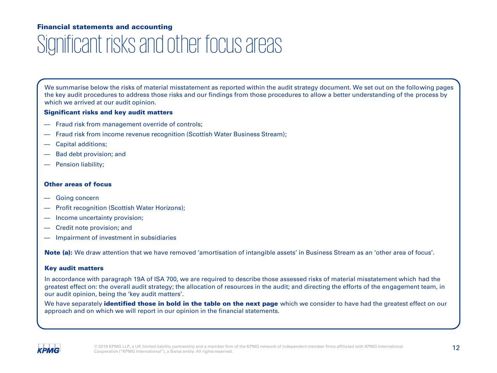# Significant risks and other focus areas

We summarise below the risks of material misstatement as reported within the audit strategy document. We set out on the following pages the key audit procedures to address those risks and our findings from those procedures to allow a better understanding of the process by which we arrived at our audit opinion.

### Significant risks and key audit matters

- Fraud risk from management override of controls;
- Fraud risk from income revenue recognition (Scottish Water Business Stream);
- Capital additions;
- Bad debt provision; and
- Pension liability;

### Other areas of focus

- Going concern
- Profit recognition (Scottish Water Horizons);
- Income uncertainty provision;
- Credit note provision; and
- Impairment of investment in subsidiaries

Note (a): We draw attention that we have removed 'amortisation of intangible assets' in Business Stream as an 'other area of focus'.

### Key audit matters

In accordance with paragraph 19A of ISA 700, we are required to describe those assessed risks of material misstatement which had the greatest effect on: the overall audit strategy; the allocation of resources in the audit; and directing the efforts of the engagement team, in our audit opinion, being the 'key audit matters'.

We have separately *identified those in bold in the table on the next page* which we consider to have had the greatest effect on our approach and on which we will report in our opinion in the financial statements.

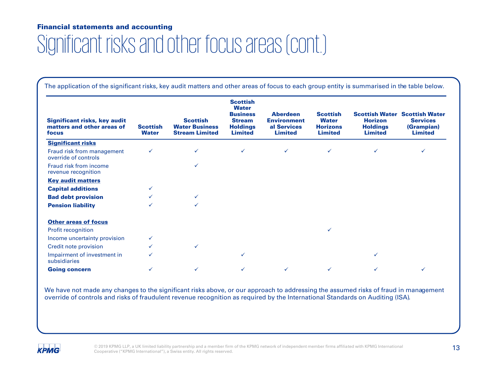# Significant risks and other focus areas (cont.)

The application of the significant risks, key audit matters and other areas of focus to each group entity is summarised in the table below.

| <b>Significant risks, key audit</b><br>matters and other areas of<br>focus | <b>Scottish</b><br><b>Water</b> | <b>Scottish</b><br><b>Water Business</b><br><b>Stream Limited</b> | <b>Scottish</b><br><b>Water</b><br><b>Business</b><br><b>Stream</b><br><b>Holdings</b><br><b>Limited</b> | <b>Aberdeen</b><br><b>Environment</b><br>al Services<br><b>Limited</b> | <b>Scottish</b><br><b>Water</b><br><b>Horizons</b><br><b>Limited</b> | <b>Horizon</b><br><b>Holdings</b><br><b>Limited</b> | <b>Scottish Water Scottish Water</b><br><b>Services</b><br>(Grampian)<br><b>Limited</b> |
|----------------------------------------------------------------------------|---------------------------------|-------------------------------------------------------------------|----------------------------------------------------------------------------------------------------------|------------------------------------------------------------------------|----------------------------------------------------------------------|-----------------------------------------------------|-----------------------------------------------------------------------------------------|
| <b>Significant risks</b>                                                   |                                 |                                                                   |                                                                                                          |                                                                        |                                                                      |                                                     |                                                                                         |
| Fraud risk from management<br>override of controls                         | $\checkmark$                    | ✓                                                                 | ✓                                                                                                        | $\checkmark$                                                           | ✓                                                                    | ✓                                                   |                                                                                         |
| Fraud risk from income<br>revenue recognition                              |                                 | ✓                                                                 |                                                                                                          |                                                                        |                                                                      |                                                     |                                                                                         |
| <b>Key audit matters</b>                                                   |                                 |                                                                   |                                                                                                          |                                                                        |                                                                      |                                                     |                                                                                         |
| <b>Capital additions</b>                                                   |                                 |                                                                   |                                                                                                          |                                                                        |                                                                      |                                                     |                                                                                         |
| <b>Bad debt provision</b>                                                  |                                 | ✓                                                                 |                                                                                                          |                                                                        |                                                                      |                                                     |                                                                                         |
| <b>Pension liability</b>                                                   |                                 | ✓                                                                 |                                                                                                          |                                                                        |                                                                      |                                                     |                                                                                         |
| <b>Other areas of focus</b>                                                |                                 |                                                                   |                                                                                                          |                                                                        |                                                                      |                                                     |                                                                                         |
| <b>Profit recognition</b>                                                  |                                 |                                                                   |                                                                                                          |                                                                        | ✓                                                                    |                                                     |                                                                                         |
| Income uncertainty provision                                               |                                 |                                                                   |                                                                                                          |                                                                        |                                                                      |                                                     |                                                                                         |
| Credit note provision                                                      |                                 | ✓                                                                 |                                                                                                          |                                                                        |                                                                      |                                                     |                                                                                         |
| Impairment of investment in<br>subsidiaries                                |                                 |                                                                   | ✓                                                                                                        |                                                                        |                                                                      |                                                     |                                                                                         |
| <b>Going concern</b>                                                       |                                 |                                                                   |                                                                                                          |                                                                        |                                                                      |                                                     |                                                                                         |

We have not made any changes to the significant risks above, or our approach to addressing the assumed risks of fraud in management override of controls and risks of fraudulent revenue recognition as required by the International Standards on Auditing (ISA).

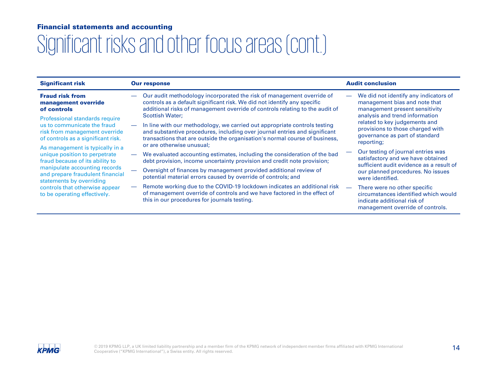| <b>Significant risk</b>                                                                                                              | <b>Our response</b>                                                                                                                                                                                                                                                                           | <b>Audit conclusion</b>                                                                                                                             |
|--------------------------------------------------------------------------------------------------------------------------------------|-----------------------------------------------------------------------------------------------------------------------------------------------------------------------------------------------------------------------------------------------------------------------------------------------|-----------------------------------------------------------------------------------------------------------------------------------------------------|
| <b>Fraud risk from</b><br>management override<br>of controls                                                                         | Our audit methodology incorporated the risk of management override of<br>controls as a default significant risk. We did not identify any specific<br>additional risks of management override of controls relating to the audit of                                                             | We did not identify any indicators of<br>$\overline{\phantom{m}}$<br>management bias and note that<br>management present sensitivity                |
| Professional standards require<br>us to communicate the fraud<br>risk from management override<br>of controls as a significant risk. | <b>Scottish Water:</b><br>In line with our methodology, we carried out appropriate controls testing<br>and substantive procedures, including over journal entries and significant<br>transactions that are outside the organisation's normal course of business,<br>or are otherwise unusual; | analysis and trend information<br>related to key judgements and<br>provisions to those charged with<br>governance as part of standard<br>reporting; |
| As management is typically in a<br>unique position to perpetrate<br>fraud because of its ability to                                  | We evaluated accounting estimates, including the consideration of the bad<br>debt provision, income uncertainty provision and credit note provision;                                                                                                                                          | Our testing of journal entries was<br>satisfactory and we have obtained<br>sufficient audit evidence as a result of                                 |
| manipulate accounting records<br>and prepare fraudulent financial<br>statements by overriding                                        | Oversight of finances by management provided additional review of<br>potential material errors caused by override of controls; and                                                                                                                                                            | our planned procedures. No issues<br>were identified.                                                                                               |
| controls that otherwise appear<br>to be operating effectively.                                                                       | Remote working due to the COVID-19 lockdown indicates an additional risk<br>of management override of controls and we have factored in the effect of<br>this in our procedures for journals testing.                                                                                          | There were no other specific<br>circumstances identified which would<br>indicate additional risk of<br>management override of controls.             |

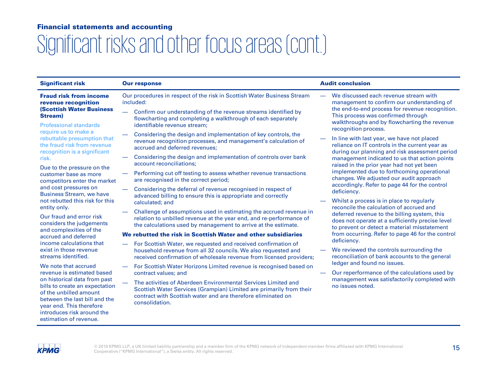| <b>Significant risk</b>                                                                                                                                                                                       | <b>Our response</b>                                                                                                                                                                                                    | <b>Audit conclusion</b>                                                                                                                          |
|---------------------------------------------------------------------------------------------------------------------------------------------------------------------------------------------------------------|------------------------------------------------------------------------------------------------------------------------------------------------------------------------------------------------------------------------|--------------------------------------------------------------------------------------------------------------------------------------------------|
| <b>Fraud risk from income</b><br>revenue recognition                                                                                                                                                          | Our procedures in respect of the risk in Scottish Water Business Stream<br>included:                                                                                                                                   | We discussed each revenue stream with<br>management to confirm our understanding of                                                              |
| <b>(Scottish Water Business)</b><br><b>Stream</b> )<br><b>Professional standards</b>                                                                                                                          | Confirm our understanding of the revenue streams identified by<br>$\overline{\phantom{0}}$<br>flowcharting and completing a walkthrough of each separately<br>identifiable revenue stream:                             | the end-to-end process for revenue recognition.<br>This process was confirmed through<br>walkthroughs and by flowcharting the revenue            |
| require us to make a<br>rebuttable presumption that<br>the fraud risk from revenue                                                                                                                            | Considering the design and implementation of key controls, the<br>revenue recognition processes, and management's calculation of<br>accrued and deferred revenues:                                                     | recognition process.<br>In line with last year, we have not placed<br>reliance on IT controls in the current year as                             |
| recognition is a significant<br>risk.                                                                                                                                                                         | Considering the design and implementation of controls over bank<br>account reconciliations:                                                                                                                            | during our planning and risk assessment period<br>management indicated to us that action points<br>raised in the prior year had not yet been     |
| Due to the pressure on the<br>customer base as more<br>competitors enter the market                                                                                                                           | Performing cut off testing to assess whether revenue transactions<br>are recognised in the correct period;                                                                                                             | implemented due to forthcoming operational<br>changes. We adjusted our audit approach<br>accordingly. Refer to page 44 for the control           |
| and cost pressures on<br><b>Business Stream, we have</b>                                                                                                                                                      | Considering the deferral of revenue recognised in respect of<br>advanced billing to ensure this is appropriate and correctly                                                                                           | deficiency.                                                                                                                                      |
| not rebutted this risk for this<br>entity only.                                                                                                                                                               | calculated; and                                                                                                                                                                                                        | Whilst a process is in place to regularly<br>reconcile the calculation of accrued and                                                            |
| Our fraud and error risk<br>considers the judgements                                                                                                                                                          | Challenge of assumptions used in estimating the accrued revenue in<br>relation to unbilled revenue at the year end, and re-performance of<br>the calculations used by management to arrive at the estimate.            | deferred revenue to the billing system, this<br>does not operate at a sufficiently precise level<br>to prevent or detect a material misstatement |
| and complexities of the<br>accrued and deferred                                                                                                                                                               | We rebutted the risk in Scottish Water and other subsidiaries                                                                                                                                                          | from occurring. Refer to page 46 for the control                                                                                                 |
| income calculations that                                                                                                                                                                                      | For Scottish Water, we requested and received confirmation of                                                                                                                                                          | deficiency.                                                                                                                                      |
| exist in those revenue<br>streams identified.                                                                                                                                                                 | household revenue from all 32 councils. We also requested and<br>received confirmation of wholesale revenue from licensed providers;                                                                                   | We reviewed the controls surrounding the<br>reconciliation of bank accounts to the general<br>ledger and found no issues.                        |
| We note that accrued<br>revenue is estimated based                                                                                                                                                            | For Scottish Water Horizons Limited revenue is recognised based on<br>contract values; and                                                                                                                             | Our reperformance of the calculations used by                                                                                                    |
| on historical data from past<br>bills to create an expectation<br>of the unbilled amount<br>between the last bill and the<br>year end. This therefore<br>introduces risk around the<br>estimation of revenue. | The activities of Aberdeen Environmental Services Limited and<br>Scottish Water Services (Grampian) Limited are primarily from their<br>contract with Scottish water and are therefore eliminated on<br>consolidation. | management was satisfactorily completed with<br>no issues noted.                                                                                 |

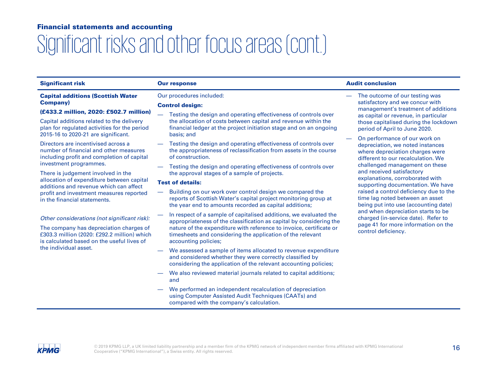# Significant risks and other focus areas (cont.)

| <b>Significant risk</b>                                                                                                              | <b>Our response</b>                                                                                                                                                                                                              | <b>Audit conclusion</b>                                                                                                                    |  |
|--------------------------------------------------------------------------------------------------------------------------------------|----------------------------------------------------------------------------------------------------------------------------------------------------------------------------------------------------------------------------------|--------------------------------------------------------------------------------------------------------------------------------------------|--|
| <b>Capital additions (Scottish Water</b>                                                                                             | Our procedures included:                                                                                                                                                                                                         | The outcome of our testing was                                                                                                             |  |
| <b>Company</b> )                                                                                                                     | <b>Control design:</b>                                                                                                                                                                                                           | satisfactory and we concur with<br>management's treatment of additions                                                                     |  |
| (£433.2 million, 2020: £502.7 million)                                                                                               | Testing the design and operating effectiveness of controls over                                                                                                                                                                  | as capital or revenue, in particular                                                                                                       |  |
| Capital additions related to the delivery<br>plan for regulated activities for the period<br>2015-16 to 2020-21 are significant.     | the allocation of costs between capital and revenue within the<br>financial ledger at the project initiation stage and on an ongoing<br>basis: and                                                                               | those capitalised during the lockdown<br>period of April to June 2020.                                                                     |  |
| Directors are incentivised across a<br>number of financial and other measures<br>including profit and completion of capital          | Testing the design and operating effectiveness of controls over<br>the appropriateness of reclassification from assets in the course<br>of construction.                                                                         | On performance of our work on<br>depreciation, we noted instances<br>where depreciation charges were<br>different to our recalculation. We |  |
| investment programmes.<br>There is judgement involved in the                                                                         | Testing the design and operating effectiveness of controls over<br>the approval stages of a sample of projects.                                                                                                                  | challenged management on these<br>and received satisfactory                                                                                |  |
| allocation of expenditure between capital<br>additions and revenue which can affect                                                  | <b>Test of details:</b>                                                                                                                                                                                                          | explanations, corroborated with<br>supporting documentation. We have                                                                       |  |
| profit and investment measures reported<br>in the financial statements.                                                              | Building on our work over control design we compared the<br>reports of Scottish Water's capital project monitoring group at<br>the year end to amounts recorded as capital additions;                                            | raised a control deficiency due to the<br>time lag noted between an asset<br>being put into use (accounting date)                          |  |
| Other considerations (not significant risk):                                                                                         | In respect of a sample of capitalised additions, we evaluated the                                                                                                                                                                | and when depreciation starts to be<br>charged (in-service date). Refer to                                                                  |  |
| The company has depreciation charges of<br>£303.3 million (2020: £292.2 million) which<br>is calculated based on the useful lives of | appropriateness of the classification as capital by considering the<br>nature of the expenditure with reference to invoice, certificate or<br>timesheets and considering the application of the relevant<br>accounting policies; | page 41 for more information on the<br>control deficiency.                                                                                 |  |
| the individual asset.                                                                                                                | We assessed a sample of items allocated to revenue expenditure<br>and considered whether they were correctly classified by<br>considering the application of the relevant accounting policies;                                   |                                                                                                                                            |  |
|                                                                                                                                      | We also reviewed material journals related to capital additions;<br>and                                                                                                                                                          |                                                                                                                                            |  |
|                                                                                                                                      | We performed an independent recalculation of depreciation<br>using Computer Assisted Audit Techniques (CAATs) and<br>compared with the company's calculation.                                                                    |                                                                                                                                            |  |

**KPMG**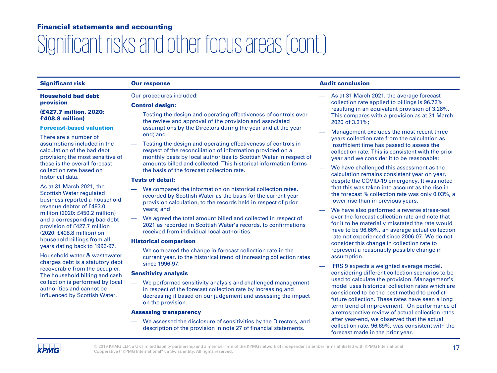| <b>Significant risk</b>                                                                                                         | <b>Our response</b>                                                                                                                                                                                                                                                  | <b>Audit conclusion</b>                                                                                                                                                                                                                             |  |
|---------------------------------------------------------------------------------------------------------------------------------|----------------------------------------------------------------------------------------------------------------------------------------------------------------------------------------------------------------------------------------------------------------------|-----------------------------------------------------------------------------------------------------------------------------------------------------------------------------------------------------------------------------------------------------|--|
| <b>Household bad debt</b>                                                                                                       | Our procedures included:                                                                                                                                                                                                                                             | As at 31 March 2021, the average forecast                                                                                                                                                                                                           |  |
| provision                                                                                                                       | <b>Control design:</b>                                                                                                                                                                                                                                               | collection rate applied to billings is 96.72%<br>resulting in an equivalent provision of 3.28%.                                                                                                                                                     |  |
| (£427.7 million, 2020:<br>£408.8 million)                                                                                       | Testing the design and operating effectiveness of controls over<br>the review and approval of the provision and associated                                                                                                                                           | This compares with a provision as at 31 March<br>2020 of 3.31%;                                                                                                                                                                                     |  |
| <b>Forecast-based valuation</b>                                                                                                 | assumptions by the Directors during the year and at the year                                                                                                                                                                                                         | Management excludes the most recent three                                                                                                                                                                                                           |  |
| There are a number of                                                                                                           | end; and                                                                                                                                                                                                                                                             | years collection rate from the calculation as                                                                                                                                                                                                       |  |
| assumptions included in the<br>calculation of the bad debt<br>provision; the most sensitive of<br>these is the overall forecast | Testing the design and operating effectiveness of controls in<br>respect of the reconciliation of information provided on a<br>monthly basis by local authorities to Scottish Water in respect of<br>amounts billed and collected. This historical information forms | insufficient time has passed to assess the<br>collection rate. This is consistent with the prior<br>year and we consider it to be reasonable;                                                                                                       |  |
| collection rate based on                                                                                                        | the basis of the forecast collection rate.                                                                                                                                                                                                                           | We have challenged this assessment as the                                                                                                                                                                                                           |  |
| historical data.                                                                                                                | <b>Tests of detail:</b>                                                                                                                                                                                                                                              | calculation remains consistent year on year,<br>despite the COVID-19 emergency. It was noted                                                                                                                                                        |  |
| As at 31 March 2021, the                                                                                                        | We compared the information on historical collection rates,                                                                                                                                                                                                          | that this was taken into account as the rise in                                                                                                                                                                                                     |  |
| <b>Scottish Water regulated</b>                                                                                                 | recorded by Scottish Water as the basis for the current year<br>provision calculation, to the records held in respect of prior<br>years; and                                                                                                                         | the forecast % collection rate was only 0.03%, a                                                                                                                                                                                                    |  |
| business reported a household<br>revenue debtor of £483.0                                                                       |                                                                                                                                                                                                                                                                      | lower rise than in previous years.                                                                                                                                                                                                                  |  |
| million (2020: £450.2 million)                                                                                                  |                                                                                                                                                                                                                                                                      | We have also performed a reverse stress-test                                                                                                                                                                                                        |  |
| and a corresponding bad debt<br>provision of £427.7 million<br>(2020: £408.8 million) on                                        | We agreed the total amount billed and collected in respect of<br>2021 as recorded in Scottish Water's records, to confirmations<br>received from individual local authorities.                                                                                       | over the forecast collection rate and note that<br>for it to be materially misstated the rate would<br>have to be 96.66%, an average actual collection                                                                                              |  |
| household billings from all                                                                                                     | <b>Historical comparison</b>                                                                                                                                                                                                                                         | rate not experienced since 2006-07. We do not<br>consider this change in collection rate to                                                                                                                                                         |  |
| years dating back to 1996-97.                                                                                                   | We compared the change in forecast collection rate in the                                                                                                                                                                                                            | represent a reasonably possible change in                                                                                                                                                                                                           |  |
| Household water & wastewater                                                                                                    | current year, to the historical trend of increasing collection rates                                                                                                                                                                                                 | assumption.                                                                                                                                                                                                                                         |  |
| charges debt is a statutory debt<br>recoverable from the occupier.                                                              | since 1996-97.                                                                                                                                                                                                                                                       | IFRS 9 expects a weighted average model,                                                                                                                                                                                                            |  |
| The household billing and cash                                                                                                  | <b>Sensitivity analysis</b>                                                                                                                                                                                                                                          | considering different collection scenarios to be                                                                                                                                                                                                    |  |
| collection is performed by local<br>authorities and cannot be<br>influenced by Scottish Water.                                  | We performed sensitivity analysis and challenged management<br>in respect of the forecast collection rate by increasing and<br>decreasing it based on our judgement and assessing the impact<br>on the provision.                                                    | used to calculate the provision. Management's<br>model uses historical collection rates which are<br>considered to be the best method to predict<br>future collection. These rates have seen a long<br>term trend of improvement. On performance of |  |
|                                                                                                                                 | <b>Assessing transparency</b>                                                                                                                                                                                                                                        | a retrospective review of actual collection rates                                                                                                                                                                                                   |  |
|                                                                                                                                 | We assessed the disclosure of sensitivities by the Directors, and<br>description of the provision in note 27 of financial statements.                                                                                                                                | after year-end, we observed that the actual<br>collection rate, 96.69%, was consistent with the<br>forecast made in the prior year.                                                                                                                 |  |

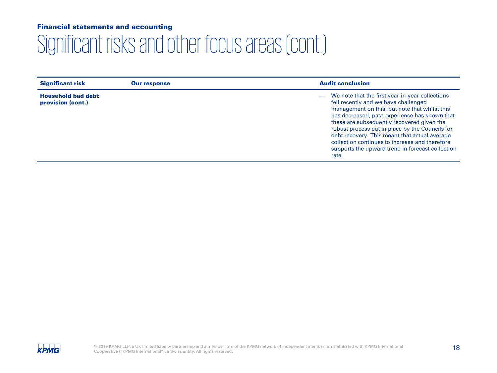| <b>Significant risk</b>                        | <b>Our response</b> | <b>Audit conclusion</b>                                                                                                                                                                                                                                                                                                                                                                                                                                      |
|------------------------------------------------|---------------------|--------------------------------------------------------------------------------------------------------------------------------------------------------------------------------------------------------------------------------------------------------------------------------------------------------------------------------------------------------------------------------------------------------------------------------------------------------------|
| <b>Household bad debt</b><br>provision (cont.) |                     | - We note that the first year-in-year collections<br>fell recently and we have challenged<br>management on this, but note that whilst this<br>has decreased, past experience has shown that<br>these are subsequently recovered given the<br>robust process put in place by the Councils for<br>debt recovery. This meant that actual average<br>collection continues to increase and therefore<br>supports the upward trend in forecast collection<br>rate. |

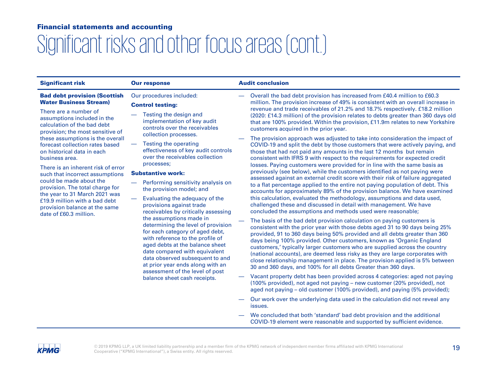| <b>Significant risk</b>                                                                                                                                                                                                                                                                                                                                                                                                                                                                                                                                                                    | <b>Our response</b>                                                                                                                                                                                                                                                                                                                                                                                                                                     | <b>Audit conclusion</b>                                                                                                                                                                                                                                                                                                                                                                                                                                                                                                                                                                                                                                                                                                                                                                                                                                                                                                                                                                                                                                                                                                                                                                         |
|--------------------------------------------------------------------------------------------------------------------------------------------------------------------------------------------------------------------------------------------------------------------------------------------------------------------------------------------------------------------------------------------------------------------------------------------------------------------------------------------------------------------------------------------------------------------------------------------|---------------------------------------------------------------------------------------------------------------------------------------------------------------------------------------------------------------------------------------------------------------------------------------------------------------------------------------------------------------------------------------------------------------------------------------------------------|-------------------------------------------------------------------------------------------------------------------------------------------------------------------------------------------------------------------------------------------------------------------------------------------------------------------------------------------------------------------------------------------------------------------------------------------------------------------------------------------------------------------------------------------------------------------------------------------------------------------------------------------------------------------------------------------------------------------------------------------------------------------------------------------------------------------------------------------------------------------------------------------------------------------------------------------------------------------------------------------------------------------------------------------------------------------------------------------------------------------------------------------------------------------------------------------------|
| <b>Bad debt provision (Scottish</b><br><b>Water Business Stream)</b><br>There are a number of<br>assumptions included in the<br>calculation of the bad debt<br>provision; the most sensitive of<br>these assumptions is the overall<br>forecast collection rates based<br>on historical data in each<br>business area.<br>There is an inherent risk of error<br>such that incorrect assumptions<br>could be made about the<br>provision. The total charge for<br>the year to 31 March 2021 was<br>£19.9 million with a bad debt<br>provision balance at the same<br>date of £60.3 million. | Our procedures included:<br><b>Control testing:</b><br>Testing the design and<br>implementation of key audit<br>controls over the receivables<br>collection processes.<br>Testing the operating<br>effectiveness of key audit controls<br>over the receivables collection<br>processes;<br><b>Substantive work:</b><br>Performing sensitivity analysis on<br>the provision model; and                                                                   | Overall the bad debt provision has increased from £40.4 million to £60.3<br>million. The provision increase of 49% is consistent with an overall increase in<br>revenue and trade receivables of 21.2% and 18.7% respectively. £18.2 million<br>(2020: £14.3 million) of the provision relates to debts greater than 360 days old<br>that are 100% provided. Within the provision, £11.9m relates to new Yorkshire<br>customers acquired in the prior year.<br>The provision approach was adjusted to take into consideration the impact of<br>COVID-19 and split the debt by those customers that were actively paying, and<br>those that had not paid any amounts in the last 12 months but remain<br>consistent with IFRS 9 with respect to the requirements for expected credit<br>losses. Paying customers were provided for in line with the same basis as<br>previously (see below), while the customers identified as not paying were<br>assessed against an external credit score with their risk of failure aggregated<br>to a flat percentage applied to the entire not paying population of debt. This<br>accounts for approximately 89% of the provision balance. We have examined |
|                                                                                                                                                                                                                                                                                                                                                                                                                                                                                                                                                                                            | Evaluating the adequacy of the<br>provisions against trade<br>receivables by critically assessing<br>the assumptions made in<br>determining the level of provision<br>for each category of aged debt,<br>with reference to the profile of<br>aged debts at the balance sheet<br>date compared with equivalent<br>data observed subsequent to and<br>at prior year ends along with an<br>assessment of the level of post<br>balance sheet cash receipts. | this calculation, evaluated the methodology, assumptions and data used,<br>challenged these and discussed in detail with management. We have<br>concluded the assumptions and methods used were reasonable;<br>The basis of the bad debt provision calculation on paying customers is<br>consistent with the prior year with those debts aged 31 to 90 days being 25%<br>provided, 91 to 360 days being 50% provided and all debts greater than 360<br>days being 100% provided. Other customers, known as 'Organic England<br>customers,' typically larger customers who are supplied across the country<br>(national accounts), are deemed less risky as they are large corporates with<br>close relationship management in place. The provision applied is 5% between<br>30 and 360 days, and 100% for all debts Greater than 360 days.<br>Vacant property debt has been provided across 4 categories: aged not paying<br>(100% provided), not aged not paying – new customer (20% provided), not                                                                                                                                                                                            |

- aged not paying old customer (100% provided), and paying (5% provided); — Our work over the underlying data used in the calculation did not reveal any
- issues. — We concluded that both 'standard' bad debt provision and the additional COVID-19 element were reasonable and supported by sufficient evidence.

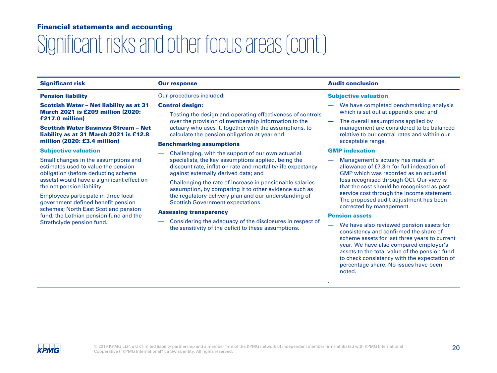# Significant risks and other focus areas (cont.)

#### Pension liability

Scottish Water – Net liability as at 31 March 2021 is £209 million (2020: £217.0 million)

#### Scottish Water Business Stream – Net liability as at 31 March 2021 is £12.8 million (2020: £3.4 million)

#### Subjective valuation

Small changes in the assumptions and estimates used to value the pension obligation (before deducting scheme assets) would have a significant effect on the net pension liability.

Employees participate in three local government defined benefit pension schemes; North East Scotland pension fund, the Lothian pension fund and the Strathclyde pension fund.

### Our procedures included:

#### Control design:

— Testing the design and operating effectiveness of controls over the provision of membership information to the actuary who uses it, together with the assumptions, to calculate the pension obligation at year end.

#### Benchmarking assumptions

- Challenging, with the support of our own actuarial specialists, the key assumptions applied, being the discount rate, inflation rate and mortality/life expectancy against externally derived data; and
- Challenging the rate of increase in pensionable salaries assumption, by comparing it to other evidence such as the regulatory delivery plan and our understanding of Scottish Government expectations.

#### Assessing transparency

— Considering the adequacy of the disclosures in respect of the sensitivity of the deficit to these assumptions.

### Significant risk **Our response** Curresponse Audit conclusion

#### Subjective valuation

- We have completed benchmarking analysis which is set out at appendix one; and
- The overall assumptions applied by management are considered to be balanced relative to our central rates and within our acceptable range.

### GMP indexation

— Management's actuary has made an allowance of £7.3m for full indexation of GMP which was recorded as an actuarial loss recognised through OCI. Our view is that the cost should be recognised as past service cost through the income statement. The proposed audit adjustment has been corrected by management.

#### Pension assets

.

We have also reviewed pension assets for consistency and confirmed the share of scheme assets for last three years to current year. We have also compared employer's assets to the total value of the pension fund to check consistency with the expectation of percentage share. No issues have been noted.

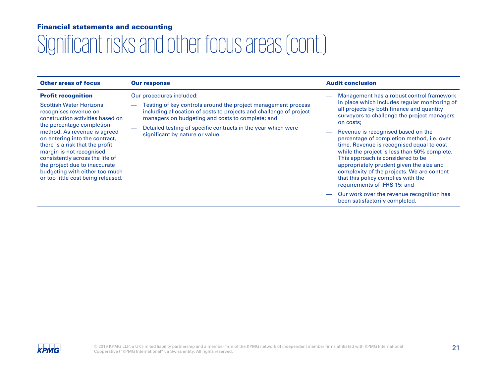| <b>Other areas of focus</b>                                                                                                                                                                                                                                                                                                                                | <b>Our response</b>                                                                                                                                                                                                                                                                                                     | <b>Audit conclusion</b>                                                                                                                                                                                                                                                                                                                                                                                                                                               |
|------------------------------------------------------------------------------------------------------------------------------------------------------------------------------------------------------------------------------------------------------------------------------------------------------------------------------------------------------------|-------------------------------------------------------------------------------------------------------------------------------------------------------------------------------------------------------------------------------------------------------------------------------------------------------------------------|-----------------------------------------------------------------------------------------------------------------------------------------------------------------------------------------------------------------------------------------------------------------------------------------------------------------------------------------------------------------------------------------------------------------------------------------------------------------------|
| <b>Profit recognition</b><br><b>Scottish Water Horizons</b><br>recognises revenue on<br>construction activities based on<br>the percentage completion<br>method. As revenue is agreed<br>on entering into the contract,<br>there is a risk that the profit<br>margin is not recognised<br>consistently across the life of<br>the project due to inaccurate | Our procedures included:<br>Testing of key controls around the project management process<br>including allocation of costs to projects and challenge of project<br>managers on budgeting and costs to complete; and<br>Detailed testing of specific contracts in the year which were<br>significant by nature or value. | Management has a robust control framework<br>in place which includes regular monitoring of<br>all projects by both finance and quantity<br>surveyors to challenge the project managers<br>on costs;<br>Revenue is recognised based on the<br>percentage of completion method, i.e. over<br>time. Revenue is recognised equal to cost<br>while the project is less than 50% complete.<br>This approach is considered to be<br>appropriately prudent given the size and |
| budgeting with either too much<br>or too little cost being released.                                                                                                                                                                                                                                                                                       |                                                                                                                                                                                                                                                                                                                         | complexity of the projects. We are content<br>that this policy complies with the<br>requirements of IFRS 15; and<br>Our work over the revenue recognition has<br>been satisfactorily completed.                                                                                                                                                                                                                                                                       |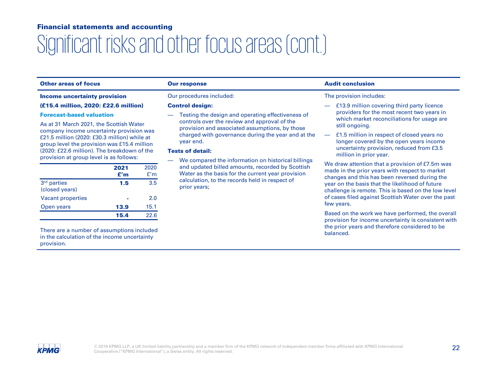# Significant risks and other focus areas (cont.)

### Other areas of focus **Our response** Audit conclusion **Our response** Audit conclusion

#### Income uncertainty provision

#### (£15.4 million, 2020: £22.6 million)

#### Forecast-based valuation

As at 31 March 2021, the Scottish Water company income uncertainty provision was £21.5 million (2020: £30.3 million) while at group level the provision was £15.4 million (2020: £22.6 million). The breakdown of the provision at group level is as follows:

|                                           | 2021<br>f'm | 2020<br>f'm |
|-------------------------------------------|-------------|-------------|
| 3 <sup>rd</sup> parties<br>(closed years) | 1.5         | 3.5         |
| <b>Vacant properties</b>                  |             | 2.0         |
| Open years                                | 13.9        | 15.1        |
|                                           | 15.4        | 22.6        |

There are a number of assumptions included in the calculation of the income uncertainty provision.

### Our procedures included:

#### Control design:

— Testing the design and operating effectiveness of controls over the review and approval of the provision and associated assumptions, by those charged with governance during the year and at the year end.

#### Tests of detail:

— We compared the information on historical billings and updated billed amounts, recorded by Scottish Water as the basis for the current year provision calculation, to the records held in respect of prior years;

### The provision includes:

- £13.9 million covering third party licence providers for the most recent two years in which market reconciliations for usage are still ongoing.
- £1.5 million in respect of closed years no longer covered by the open years income uncertainty provision, reduced from £3.5 million in prior year.

We draw attention that a provision of £7.5m was made in the prior years with respect to market changes and this has been reversed during the year on the basis that the likelihood of future challenge is remote. This is based on the low level of cases filed against Scottish Water over the past few years.

Based on the work we have performed, the overall provision for income uncertainty is consistent with the prior years and therefore considered to be balanced.

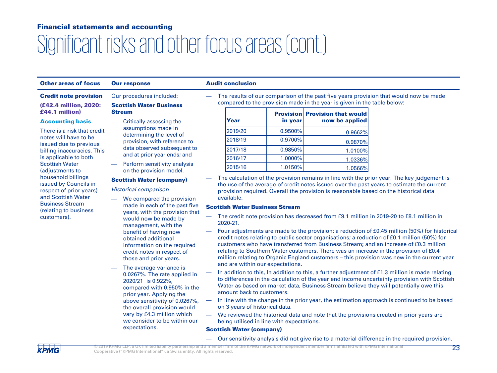# Significant risks and other focus areas (cont.)

### Other areas of focus Our response **Audit conclusion**

Stream

Our procedures included: Scottish Water Business

Credit note provision

(£42.4 million, 2020: £44.1 million)

#### Accounting basis

There is a risk that credit notes will have to be issued due to previous billing inaccuracies. This is applicable to both Scottish Water (adjustments to household billings issued by Councils in respect of prior years) and Scottish Water Business Stream (relating to business customers).

- Critically assessing the assumptions made in determining the level of provision, with reference to data observed subsequent to and at prior year ends; and
- Perform sensitivity analysis on the provision model.

### Scottish Water (company)

Historical comparison

- We compared the provision made in each of the past five years, with the provision that would now be made by management, with the benefit of having now obtained additional information on the required credit notes in respect of those and prior years.
- The average variance is 0.0267%. The rate applied in 2020/21 is 0.922%, compared with 0.950% in the prior year. Applying the above sensitivity of 0.0267%, the overall provision would vary by £4.3 million which we consider to be within our expectations.

— The results of our comparison of the past five years provision that would now be made compared to the provision made in the year is given in the table below:

| Year    | in vear    | <b>Provision Provision that would</b><br>now be applied |
|---------|------------|---------------------------------------------------------|
| 2019/20 | 0.9500%    | 0.9662%                                                 |
| 2018/19 | $0.9700\%$ | 0.9870%                                                 |
| 2017/18 | 0.9850%    | 1.0100%                                                 |
| 2016/17 | $1.0000\%$ | 1.0336%                                                 |
| 2015/16 | 1.0150%    | 1.0566%                                                 |

— The calculation of the provision remains in line with the prior year. The key judgement is the use of the average of credit notes issued over the past years to estimate the current provision required. Overall the provision is reasonable based on the historical data available.

### Scottish Water Business Stream

- The credit note provision has decreased from £9.1 million in 2019-20 to £8.1 million in 2020-21.
- Four adjustments are made to the provision: a reduction of £0.45 million (50%) for historical credit notes relating to public sector organisations; a reduction of £0.1 million (50%) for customers who have transferred from Business Stream; and an increase of £0.3 million relating to Southern Water customers. There was an increase in the provision of £0.4 million relating to Organic England customers – this provision was new in the current year and are within our expectations.
- In addition to this, In addition to this, a further adjustment of £1.3 million is made relating to differences in the calculation of the year end income uncertainty provision with Scottish Water as based on market data, Business Stream believe they will potentially owe this amount back to customers.
- In line with the change in the prior year, the estimation approach is continued to be based on 3 years of historical data.
- We reviewed the historical data and note that the provisions created in prior years are being utilised in line with expectations.

### Scottish Water (company)

— Our sensitivity analysis did not give rise to a material difference in the required provision.

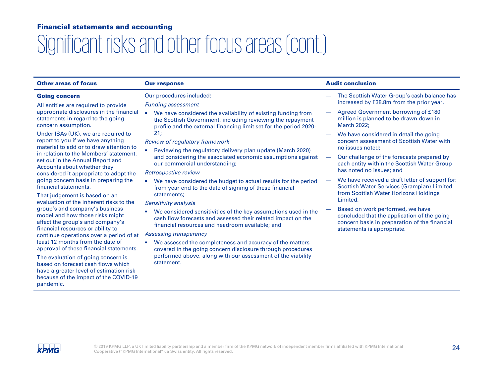# Significant risks and other focus areas (cont.)

| <b>Other areas of focus</b>                                                                                                                | <b>Our response</b>                                                                                                                                                                             | <b>Audit conclusion</b>                                                                                                                                        |
|--------------------------------------------------------------------------------------------------------------------------------------------|-------------------------------------------------------------------------------------------------------------------------------------------------------------------------------------------------|----------------------------------------------------------------------------------------------------------------------------------------------------------------|
| <b>Going concern</b>                                                                                                                       | Our procedures included:                                                                                                                                                                        | The Scottish Water Group's cash balance has                                                                                                                    |
| All entities are required to provide                                                                                                       | <b>Funding assessment</b>                                                                                                                                                                       | increased by £38.8m from the prior year.                                                                                                                       |
| appropriate disclosures in the financial<br>statements in regard to the going<br>concern assumption.                                       | We have considered the availability of existing funding from<br>the Scottish Government, including reviewing the repayment<br>profile and the external financing limit set for the period 2020- | Agreed Government borrowing of £180<br>million is planned to be drawn down in<br><b>March 2022:</b>                                                            |
| Under ISAs (UK), we are required to                                                                                                        | 21;                                                                                                                                                                                             | We have considered in detail the going                                                                                                                         |
| report to you if we have anything<br>material to add or to draw attention to                                                               | Review of regulatory framework                                                                                                                                                                  | concern assessment of Scottish Water with                                                                                                                      |
| in relation to the Members' statement,                                                                                                     | Reviewing the regulatory delivery plan update (March 2020)                                                                                                                                      | no issues noted;                                                                                                                                               |
| set out in the Annual Report and                                                                                                           | and considering the associated economic assumptions against<br>our commercial understanding;                                                                                                    | Our challenge of the forecasts prepared by<br>$\overline{\phantom{0}}$<br>each entity within the Scottish Water Group                                          |
| Accounts about whether they<br>considered it appropriate to adopt the                                                                      | Retrospective review                                                                                                                                                                            | has noted no issues: and                                                                                                                                       |
| going concern basis in preparing the<br>financial statements.                                                                              | We have considered the budget to actual results for the period<br>from year end to the date of signing of these financial                                                                       | We have received a draft letter of support for:<br><b>Scottish Water Services (Grampian) Limited</b>                                                           |
| That judgement is based on an<br>evaluation of the inherent risks to the                                                                   | statements;                                                                                                                                                                                     | from Scottish Water Horizons Holdings<br>Limited.                                                                                                              |
|                                                                                                                                            | Sensitivity analysis                                                                                                                                                                            |                                                                                                                                                                |
| group's and company's business<br>model and how those risks might<br>affect the group's and company's<br>financial resources or ability to | We considered sensitivities of the key assumptions used in the<br>cash flow forecasts and assessed their related impact on the<br>financial resources and headroom available; and               | Based on work performed, we have<br>concluded that the application of the going<br>concern basis in preparation of the financial<br>statements is appropriate. |
| continue operations over a period of at                                                                                                    | Assessing transparency                                                                                                                                                                          |                                                                                                                                                                |
| least 12 months from the date of<br>approval of these financial statements.                                                                | We assessed the completeness and accuracy of the matters<br>covered in the going concern disclosure through procedures                                                                          |                                                                                                                                                                |
| The evaluation of going concern is<br>hasod on forecast cash flows which                                                                   | performed above, along with our assessment of the viability<br>statement.                                                                                                                       |                                                                                                                                                                |

based on forecast cash flows which have a greater level of estimation risk because of the impact of the COVID-19 pandemic.

**KPMG** 

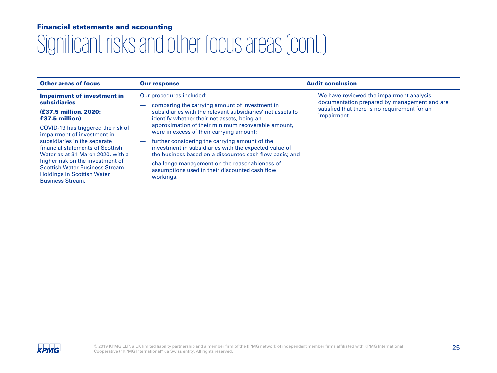| <b>Other areas of focus</b>                                                                                                                                                                                                                                                                                             | <b>Our response</b>                                                                                                                                                                            | <b>Audit conclusion</b>                                                                  |
|-------------------------------------------------------------------------------------------------------------------------------------------------------------------------------------------------------------------------------------------------------------------------------------------------------------------------|------------------------------------------------------------------------------------------------------------------------------------------------------------------------------------------------|------------------------------------------------------------------------------------------|
| <b>Impairment of investment in</b><br><b>subsidiaries</b>                                                                                                                                                                                                                                                               | Our procedures included:<br>comparing the carrying amount of investment in                                                                                                                     | We have reviewed the impairment analysis<br>documentation prepared by management and are |
| (£37.5 million, 2020:<br>£37.5 million)                                                                                                                                                                                                                                                                                 | subsidiaries with the relevant subsidiaries' net assets to<br>identify whether their net assets, being an                                                                                      | satisfied that there is no requirement for an<br>impairment.                             |
| COVID-19 has triggered the risk of<br>impairment of investment in<br>subsidiaries in the separate<br>financial statements of Scottish<br>Water as at 31 March 2020, with a<br>higher risk on the investment of<br><b>Scottish Water Business Stream</b><br><b>Holdings in Scottish Water</b><br><b>Business Stream.</b> | approximation of their minimum recoverable amount,<br>were in excess of their carrying amount;                                                                                                 |                                                                                          |
|                                                                                                                                                                                                                                                                                                                         | further considering the carrying amount of the<br>$\overline{\phantom{0}}$<br>investment in subsidiaries with the expected value of<br>the business based on a discounted cash flow basis; and |                                                                                          |
|                                                                                                                                                                                                                                                                                                                         | challenge management on the reasonableness of<br>$\overline{\phantom{0}}$<br>assumptions used in their discounted cash flow<br>workings.                                                       |                                                                                          |

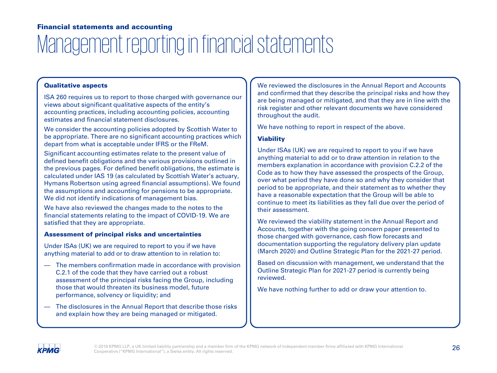# Management reporting in financial statements

### Qualitative aspects

ISA 260 requires us to report to those charged with governance our views about significant qualitative aspects of the entity's accounting practices, including accounting policies, accounting estimates and financial statement disclosures.

We consider the accounting policies adopted by Scottish Water to be appropriate. There are no significant accounting practices which depart from what is acceptable under IFRS or the FReM.

Significant accounting estimates relate to the present value of defined benefit obligations and the various provisions outlined in the previous pages. For defined benefit obligations, the estimate is calculated under IAS 19 (as calculated by Scottish Water's actuary, Hymans Robertson using agreed financial assumptions). We found the assumptions and accounting for pensions to be appropriate. We did not identify indications of management bias.

We have also reviewed the changes made to the notes to the financial statements relating to the impact of COVID-19. We are satisfied that they are appropriate.

### Assessment of principal risks and uncertainties

Under ISAs (UK) we are required to report to you if we have anything material to add or to draw attention to in relation to:

- The members confirmation made in accordance with provision C.2.1 of the code that they have carried out a robust assessment of the principal risks facing the Group, including those that would threaten its business model, future performance, solvency or liquidity; and
- The disclosures in the Annual Report that describe those risks and explain how they are being managed or mitigated.

We reviewed the disclosures in the Annual Report and Accounts and confirmed that they describe the principal risks and how they are being managed or mitigated, and that they are in line with the risk register and other relevant documents we have considered throughout the audit.

We have nothing to report in respect of the above.

### **Viability**

Under ISAs (UK) we are required to report to you if we have anything material to add or to draw attention in relation to the members explanation in accordance with provision C.2.2 of the Code as to how they have assessed the prospects of the Group, over what period they have done so and why they consider that period to be appropriate, and their statement as to whether they have a reasonable expectation that the Group will be able to continue to meet its liabilities as they fall due over the period of their assessment.

We reviewed the viability statement in the Annual Report and Accounts, together with the going concern paper presented to those charged with governance, cash flow forecasts and documentation supporting the regulatory delivery plan update (March 2020) and Outline Strategic Plan for the 2021-27 period.

Based on discussion with management, we understand that the Outline Strategic Plan for 2021-27 period is currently being reviewed.

We have nothing further to add or draw your attention to.

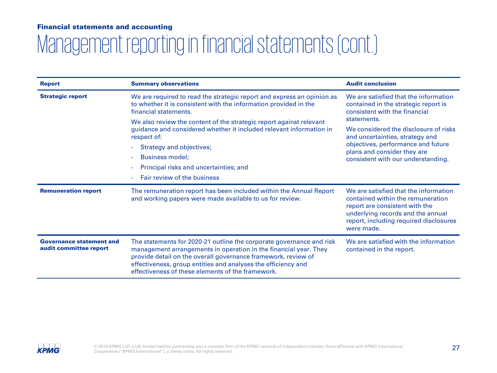# Management reporting in financial statements (cont.)

| <b>Report</b>                                             | <b>Summary observations</b>                                                                                                                                                                                                                                                                                                     | <b>Audit conclusion</b>                                                                                                                                                                                   |  |
|-----------------------------------------------------------|---------------------------------------------------------------------------------------------------------------------------------------------------------------------------------------------------------------------------------------------------------------------------------------------------------------------------------|-----------------------------------------------------------------------------------------------------------------------------------------------------------------------------------------------------------|--|
| <b>Strategic report</b>                                   | We are required to read the strategic report and express an opinion as<br>to whether it is consistent with the information provided in the<br>financial statements.                                                                                                                                                             | We are satisfied that the information<br>contained in the strategic report is<br>consistent with the financial<br>statements.                                                                             |  |
|                                                           | We also review the content of the strategic report against relevant<br>guidance and considered whether it included relevant information in<br>respect of:<br>Strategy and objectives;<br><b>Business model:</b><br>Principal risks and uncertainties; and<br>Fair review of the business                                        | We considered the disclosure of risks<br>and uncertainties, strategy and<br>objectives, performance and future<br>plans and consider they are<br>consistent with our understanding.                       |  |
| <b>Remuneration report</b>                                | The remuneration report has been included within the Annual Report<br>and working papers were made available to us for review.                                                                                                                                                                                                  | We are satisfied that the information<br>contained within the remuneration<br>report are consistent with the<br>underlying records and the annual<br>report, including required disclosures<br>were made. |  |
| <b>Governance statement and</b><br>audit committee report | The statements for 2020-21 outline the corporate governance and risk<br>management arrangements in operation in the financial year. They<br>provide detail on the overall governance framework, review of<br>effectiveness, group entities and analyses the efficiency and<br>effectiveness of these elements of the framework. | We are satisfied with the information<br>contained in the report.                                                                                                                                         |  |

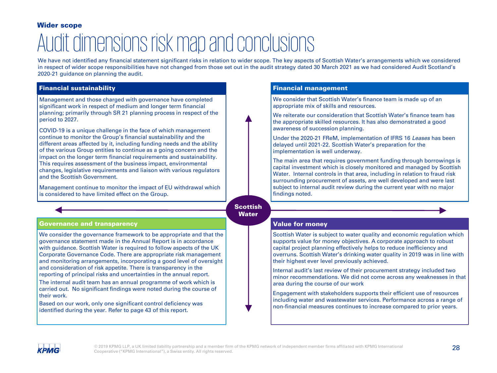### Wider scope

# Audit dimensions risk map and conclusions

We have not identified any financial statement significant risks in relation to wider scope. The key aspects of Scottish Water's arrangements which we considered in respect of wider scope responsibilities have not changed from those set out in the audit strategy dated 30 March 2021 as we had considered Audit Scotland's 2020-21 guidance on planning the audit.

### Financial sustainability

Management and those charged with governance have completed significant work in respect of medium and longer term financial planning; primarily through SR 21 planning process in respect of the period to 2027.

COVID-19 is a unique challenge in the face of which management continue to monitor the Group's financial sustainability and the different areas affected by it, including funding needs and the ability of the various Group entities to continue as a going concern and the impact on the longer term financial requirements and sustainability. This requires assessment of the business impact, environmental changes, legislative requirements and liaison with various regulators and the Scottish Government.

Management continue to monitor the impact of EU withdrawal which is considered to have limited effect on the Group.

### Governance and transparency Value for money

We consider the governance framework to be appropriate and that the governance statement made in the Annual Report is in accordance with guidance. Scottish Water is required to follow aspects of the UK Corporate Governance Code. There are appropriate risk management and monitoring arrangements, incorporating a good level of oversight and consideration of risk appetite. There is transparency in the reporting of principal risks and uncertainties in the annual report.

The internal audit team has an annual programme of work which is carried out. No significant findings were noted during the course of their work.

Based on our work, only one significant control deficiency was identified during the year. Refer to page 43 of this report.

### Financial management

We consider that Scottish Water's finance team is made up of an appropriate mix of skills and resources.

We reiterate our consideration that Scottish Water's finance team has the appropriate skilled resources. It has also demonstrated a good awareness of succession planning.

Under the 2020-21 FReM, implementation of IFRS 16 Leases has been delayed until 2021-22. Scottish Water's preparation for the implementation is well underway.

The main area that requires government funding through borrowings is capital investment which is closely monitored and managed by Scottish Water. Internal controls in that area, including in relation to fraud risk surrounding procurement of assets, are well developed and were last subject to internal audit review during the current year with no major findings noted.

### **Scottish Water**

Scottish Water is subject to water quality and economic regulation which supports value for money objectives. A corporate approach to robust capital project planning effectively helps to reduce inefficiency and overruns. Scottish Water's drinking water quality in 2019 was in line with their highest ever level previously achieved.

Internal audit's last review of their procurement strategy included two minor recommendations. We did not come across any weaknesses in that area during the course of our work

Engagement with stakeholders supports their efficient use of resources including water and wastewater services. Performance across a range of non-financial measures continues to increase compared to prior years.

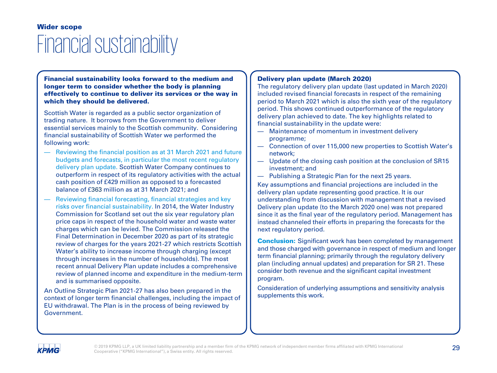### Financial sustainability Wider scope

Financial sustainability looks forward to the medium and longer term to consider whether the body is planning effectively to continue to deliver its services or the way in which they should be delivered.

Scottish Water is regarded as a public sector organization of trading nature. It borrows from the Government to deliver essential services mainly to the Scottish community. Considering financial sustainability of Scottish Water we performed the following work:

- Reviewing the financial position as at 31 March 2021 and future budgets and forecasts, in particular the most recent regulatory delivery plan update. Scottish Water Company continues to outperform in respect of its regulatory activities with the actual cash position of £429 million as opposed to a forecasted balance of £363 million as at 31 March 2021; and
- Reviewing financial forecasting, financial strategies and key risks over financial sustainability. In 2014, the Water Industry Commission for Scotland set out the six year regulatory plan price caps in respect of the household water and waste water charges which can be levied. The Commission released the Final Determination in December 2020 as part of its strategic review of charges for the years 2021-27 which restricts Scottish Water's ability to increase income through charging (except through increases in the number of households). The most recent annual Delivery Plan update includes a comprehensive review of planned income and expenditure in the medium-term and is summarised opposite.

An Outline Strategic Plan 2021-27 has also been prepared in the context of longer term financial challenges, including the impact of EU withdrawal. The Plan is in the process of being reviewed by Government.

### Delivery plan update (March 2020)

The regulatory delivery plan update (last updated in March 2020) included revised financial forecasts in respect of the remaining period to March 2021 which is also the sixth year of the regulatory period. This shows continued outperformance of the regulatory delivery plan achieved to date. The key highlights related to financial sustainability in the update were:

- Maintenance of momentum in investment delivery programme;
- Connection of over 115,000 new properties to Scottish Water's network;
- Update of the closing cash position at the conclusion of SR15 investment; and
- Publishing a Strategic Plan for the next 25 years.

Key assumptions and financial projections are included in the delivery plan update representing good practice. It is our understanding from discussion with management that a revised Delivery plan update (to the March 2020 one) was not prepared since it as the final year of the regulatory period. Management has instead channeled their efforts in preparing the forecasts for the next regulatory period.

**Conclusion:** Significant work has been completed by management and those charged with governance in respect of medium and longer term financial planning; primarily through the regulatory delivery plan (including annual updates) and preparation for SR 21. These consider both revenue and the significant capital investment program.

Consideration of underlying assumptions and sensitivity analysis supplements this work.

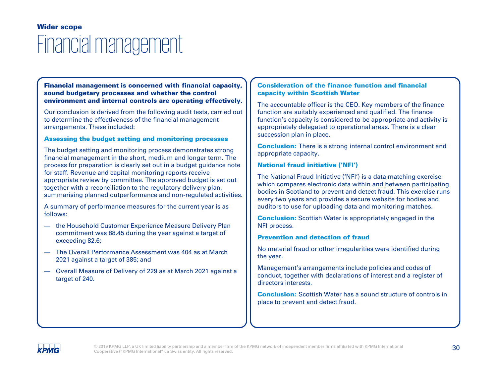### Financial management Wider scope

### Financial management is concerned with financial capacity, sound budgetary processes and whether the control environment and internal controls are operating effectively.

Our conclusion is derived from the following audit tests, carried out to determine the effectiveness of the financial management arrangements. These included:

### Assessing the budget setting and monitoring processes

The budget setting and monitoring process demonstrates strong financial management in the short, medium and longer term. The process for preparation is clearly set out in a budget guidance note for staff. Revenue and capital monitoring reports receive appropriate review by committee. The approved budget is set out together with a reconciliation to the regulatory delivery plan, summarising planned outperformance and non-regulated activities.

A summary of performance measures for the current year is as follows:

- the Household Customer Experience Measure Delivery Plan commitment was 88.45 during the year against a target of exceeding 82.6;
- The Overall Performance Assessment was 404 as at March 2021 against a target of 385; and
- Overall Measure of Delivery of 229 as at March 2021 against a target of 240.

### Consideration of the finance function and financial capacity within Scottish Water

The accountable officer is the CEO. Key members of the finance function are suitably experienced and qualified. The finance function's capacity is considered to be appropriate and activity is appropriately delegated to operational areas. There is a clear succession plan in place.

**Conclusion:** There is a strong internal control environment and appropriate capacity.

### National fraud initiative ('NFI')

The National Fraud Initiative ('NFI') is a data matching exercise which compares electronic data within and between participating bodies in Scotland to prevent and detect fraud. This exercise runs every two years and provides a secure website for bodies and auditors to use for uploading data and monitoring matches.

Conclusion: Scottish Water is appropriately engaged in the NFI process.

### Prevention and detection of fraud

No material fraud or other irregularities were identified during the year.

Management's arrangements include policies and codes of conduct, together with declarations of interest and a register of directors interests.

Conclusion: Scottish Water has a sound structure of controls in place to prevent and detect fraud.

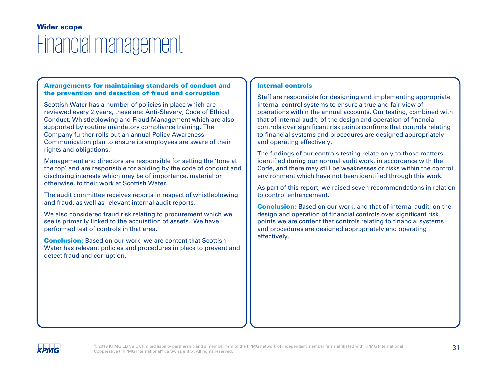### Financial management Wider scope

### Arrangements for maintaining standards of conduct and the prevention and detection of fraud and corruption

Scottish Water has a number of policies in place which are reviewed every 2 years, these are: Anti-Slavery, Code of Ethical Conduct, Whistleblowing and Fraud Management which are also supported by routine mandatory compliance training. The Company further rolls out an annual Policy Awareness Communication plan to ensure its employees are aware of their rights and obligations.

Management and directors are responsible for setting the 'tone at the top' and are responsible for abiding by the code of conduct and disclosing interests which may be of importance, material or otherwise, to their work at Scottish Water.

The audit committee receives reports in respect of whistleblowing and fraud, as well as relevant internal audit reports.

We also considered fraud risk relating to procurement which we see is primarily linked to the acquisition of assets. We have performed test of controls in that area.

**Conclusion:** Based on our work, we are content that Scottish Water has relevant policies and procedures in place to prevent and detect fraud and corruption.

### Internal controls

Staff are responsible for designing and implementing appropriate internal control systems to ensure a true and fair view of operations within the annual accounts. Our testing, combined with that of internal audit, of the design and operation of financial controls over significant risk points confirms that controls relating to financial systems and procedures are designed appropriately and operating effectively.

The findings of our controls testing relate only to those matters identified during our normal audit work, in accordance with the Code, and there may still be weaknesses or risks within the control environment which have not been identified through this work.

As part of this report, we raised seven recommendations in relation to control enhancement.

Conclusion: Based on our work, and that of internal audit, on the design and operation of financial controls over significant risk points we are content that controls relating to financial systems and procedures are designed appropriately and operating effectively.

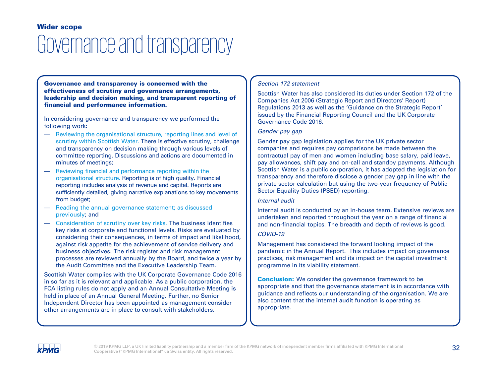### Governance and transparency Wider scope

Governance and transparency is concerned with the effectiveness of scrutiny and governance arrangements, leadership and decision making, and transparent reporting of financial and performance information.

In considering governance and transparency we performed the following work:

- Reviewing the organisational structure, reporting lines and level of scrutiny within Scottish Water. There is effective scrutiny, challenge and transparency on decision making through various levels of committee reporting. Discussions and actions are documented in minutes of meetings;
- Reviewing financial and performance reporting within the organisational structure. Reporting is of high quality. Financial reporting includes analysis of revenue and capital. Reports are sufficiently detailed, giving narrative explanations to key movements from budget;
- Reading the annual governance statement; as discussed previously; and
- Consideration of scrutiny over key risks. The business identifies key risks at corporate and functional levels. Risks are evaluated by considering their consequences, in terms of impact and likelihood, against risk appetite for the achievement of service delivery and business objectives. The risk register and risk management processes are reviewed annually by the Board, and twice a year by the Audit Committee and the Executive Leadership Team.

Scottish Water complies with the UK Corporate Governance Code 2016 in so far as it is relevant and applicable. As a public corporation, the FCA listing rules do not apply and an Annual Consultative Meeting is held in place of an Annual General Meeting. Further, no Senior Independent Director has been appointed as management consider other arrangements are in place to consult with stakeholders.

### Section 172 statement

Scottish Water has also considered its duties under Section 172 of the Companies Act 2006 (Strategic Report and Directors' Report) Regulations 2013 as well as the 'Guidance on the Strategic Report' issued by the Financial Reporting Council and the UK Corporate Governance Code 2016.

### Gender pay gap

Gender pay gap legislation applies for the UK private sector companies and requires pay comparisons be made between the contractual pay of men and women including base salary, paid leave, pay allowances, shift pay and on-call and standby payments. Although Scottish Water is a public corporation, it has adopted the legislation for transparency and therefore disclose a gender pay gap in line with the private sector calculation but using the two-year frequency of Public Sector Equality Duties (PSED) reporting.

### Internal audit

Internal audit is conducted by an in-house team. Extensive reviews are undertaken and reported throughout the year on a range of financial and non-financial topics. The breadth and depth of reviews is good.

### COVID-19

Management has considered the forward looking impact of the pandemic in the Annual Report. This includes impact on governance practices, risk management and its impact on the capital investment programme in its viability statement.

**Conclusion:** We consider the governance framework to be appropriate and that the governance statement is in accordance with guidance and reflects our understanding of the organisation. We are also content that the internal audit function is operating as appropriate.

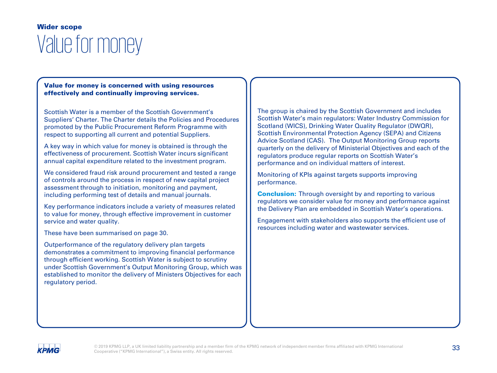### Value for money Wider scope

### Value for money is concerned with using resources effectively and continually improving services.

Scottish Water is a member of the Scottish Government's Suppliers' Charter. The Charter details the Policies and Procedures promoted by the Public Procurement Reform Programme with respect to supporting all current and potential Suppliers.

A key way in which value for money is obtained is through the effectiveness of procurement. Scottish Water incurs significant annual capital expenditure related to the investment program.

We considered fraud risk around procurement and tested a range of controls around the process in respect of new capital project assessment through to initiation, monitoring and payment, including performing test of details and manual journals.

Key performance indicators include a variety of measures related to value for money, through effective improvement in customer service and water quality.

These have been summarised on page 30.

Outperformance of the regulatory delivery plan targets demonstrates a commitment to improving financial performance through efficient working. Scottish Water is subject to scrutiny under Scottish Government's Output Monitoring Group, which was established to monitor the delivery of Ministers Objectives for each regulatory period.

The group is chaired by the Scottish Government and includes Scottish Water's main regulators: Water Industry Commission for Scotland (WICS), Drinking Water Quality Regulator (DWQR), Scottish Environmental Protection Agency (SEPA) and Citizens Advice Scotland (CAS). The Output Monitoring Group reports quarterly on the delivery of Ministerial Objectives and each of the regulators produce regular reports on Scottish Water's performance and on individual matters of interest.

Monitoring of KPIs against targets supports improving performance.

**Conclusion:** Through oversight by and reporting to various regulators we consider value for money and performance against the Delivery Plan are embedded in Scottish Water's operations.

Engagement with stakeholders also supports the efficient use of resources including water and wastewater services.

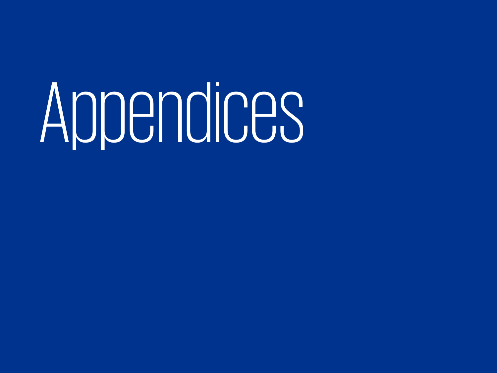# Appendices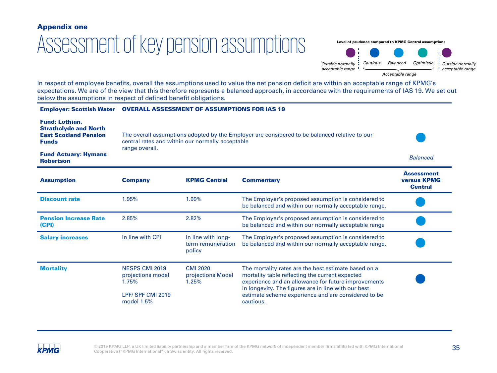### Assessment of key pension assumptions Appendix one

Level of prudence compared to KPMG Central assumptions



In respect of employee benefits, overall the assumptions used to value the net pension deficit are within an acceptable range of KPMG's expectations. We are of the view that this therefore represents a balanced approach, in accordance with the requirements of IAS 19. We set out below the assumptions in respect of defined benefit obligations.

| <b>Employer: Scottish Water</b>                                                                       | <b>OVERALL ASSESSMENT OF ASSUMPTIONS FOR IAS 19</b>                                                                                                                 |                                                   |                                                                                                                                                                                                                                                                                           |                                                           |
|-------------------------------------------------------------------------------------------------------|---------------------------------------------------------------------------------------------------------------------------------------------------------------------|---------------------------------------------------|-------------------------------------------------------------------------------------------------------------------------------------------------------------------------------------------------------------------------------------------------------------------------------------------|-----------------------------------------------------------|
| <b>Fund: Lothian,</b><br><b>Strathclyde and North</b><br><b>East Scotland Pension</b><br><b>Funds</b> | The overall assumptions adopted by the Employer are considered to be balanced relative to our<br>central rates and within our normally acceptable<br>range overall. |                                                   |                                                                                                                                                                                                                                                                                           |                                                           |
| <b>Fund Actuary: Hymans</b><br><b>Robertson</b>                                                       |                                                                                                                                                                     |                                                   |                                                                                                                                                                                                                                                                                           | <b>Balanced</b>                                           |
| <b>Assumption</b>                                                                                     | <b>Company</b>                                                                                                                                                      | <b>KPMG Central</b>                               | <b>Commentary</b>                                                                                                                                                                                                                                                                         | <b>Assessment</b><br><b>versus KPMG</b><br><b>Central</b> |
| <b>Discount rate</b>                                                                                  | 1.95%                                                                                                                                                               | 1.99%                                             | The Employer's proposed assumption is considered to<br>be balanced and within our normally acceptable range.                                                                                                                                                                              |                                                           |
| <b>Pension Increase Rate</b><br>(CPI)                                                                 | 2.85%                                                                                                                                                               | 2.82%                                             | The Employer's proposed assumption is considered to<br>be balanced and within our normally acceptable range                                                                                                                                                                               |                                                           |
| <b>Salary increases</b>                                                                               | In line with CPI                                                                                                                                                    | In line with long-<br>term remuneration<br>policy | The Employer's proposed assumption is considered to<br>be balanced and within our normally acceptable range.                                                                                                                                                                              |                                                           |
| <b>Mortality</b>                                                                                      | NESPS CMI 2019<br>projections model<br>1.75%<br>LPF/ SPF CMI 2019<br>model 1.5%                                                                                     | <b>CMI 2020</b><br>projections Model<br>1.25%     | The mortality rates are the best estimate based on a<br>mortality table reflecting the current expected<br>experience and an allowance for future improvements<br>in longevity. The figures are in line with our best<br>estimate scheme experience and are considered to be<br>cautious. |                                                           |

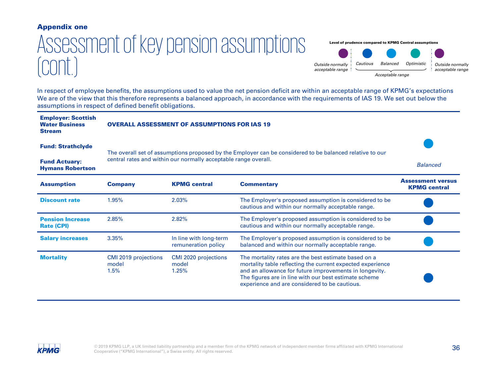### Appendix one

# Assessment of key pension assumptions  $\text{const.}$

Level of prudence compared to KPMG Central assumptions



In respect of employee benefits, the assumptions used to value the net pension deficit are within an acceptable range of KPMG's expectations We are of the view that this therefore represents a balanced approach, in accordance with the requirements of IAS 19. We set out below the assumptions in respect of defined benefit obligations.

| <b>Employer: Scottish</b><br><b>Water Business</b><br><b>Stream</b> | <b>OVERALL ASSESSMENT OF ASSUMPTIONS FOR IAS 19</b>                                                                                                                         |                                               |                                                                                                                                                                                                                                                                                        |                                                 |
|---------------------------------------------------------------------|-----------------------------------------------------------------------------------------------------------------------------------------------------------------------------|-----------------------------------------------|----------------------------------------------------------------------------------------------------------------------------------------------------------------------------------------------------------------------------------------------------------------------------------------|-------------------------------------------------|
| <b>Fund: Strathclyde</b>                                            | The overall set of assumptions proposed by the Employer can be considered to be balanced relative to our<br>central rates and within our normally acceptable range overall. |                                               |                                                                                                                                                                                                                                                                                        |                                                 |
| <b>Fund Actuary:</b><br><b>Hymans Robertson</b>                     |                                                                                                                                                                             |                                               |                                                                                                                                                                                                                                                                                        | <b>Balanced</b>                                 |
| <b>Assumption</b>                                                   | <b>Company</b>                                                                                                                                                              | <b>KPMG</b> central                           | <b>Commentary</b>                                                                                                                                                                                                                                                                      | <b>Assessment versus</b><br><b>KPMG central</b> |
| <b>Discount rate</b>                                                | 1.95%                                                                                                                                                                       | 2.03%                                         | The Employer's proposed assumption is considered to be<br>cautious and within our normally acceptable range.                                                                                                                                                                           |                                                 |
| <b>Pension Increase</b><br><b>Rate (CPI)</b>                        | 2.85%                                                                                                                                                                       | 2.82%                                         | The Employer's proposed assumption is considered to be.<br>cautious and within our normally acceptable range.                                                                                                                                                                          |                                                 |
| <b>Salary increases</b>                                             | 3.35%                                                                                                                                                                       | In line with long-term<br>remuneration policy | The Employer's proposed assumption is considered to be<br>balanced and within our normally acceptable range.                                                                                                                                                                           |                                                 |
| <b>Mortality</b>                                                    | CMI 2019 projections<br>model<br>1.5%                                                                                                                                       | CMI 2020 projections<br>model<br>1.25%        | The mortality rates are the best estimate based on a<br>mortality table reflecting the current expected experience<br>and an allowance for future improvements in longevity.<br>The figures are in line with our best estimate scheme<br>experience and are considered to be cautious. |                                                 |

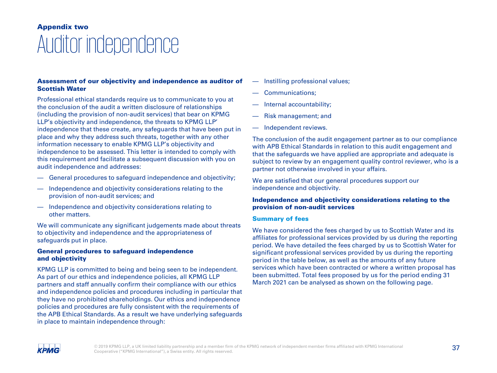### Auditor independence Appendix two

### Assessment of our objectivity and independence as auditor of Scottish Water

Professional ethical standards require us to communicate to you at the conclusion of the audit a written disclosure of relationships (including the provision of non-audit services) that bear on KPMG LLP's objectivity and independence, the threats to KPMG LLP' independence that these create, any safeguards that have been put in place and why they address such threats, together with any other information necessary to enable KPMG LLP's objectivity and independence to be assessed. This letter is intended to comply with this requirement and facilitate a subsequent discussion with you on audit independence and addresses:

- General procedures to safeguard independence and objectivity;
- Independence and objectivity considerations relating to the provision of non-audit services; and
- Independence and objectivity considerations relating to other matters.

We will communicate any significant judgements made about threats to objectivity and independence and the appropriateness of safeguards put in place.

### General procedures to safeguard independence and objectivity

KPMG LLP is committed to being and being seen to be independent. As part of our ethics and independence policies, all KPMG LLP partners and staff annually confirm their compliance with our ethics and independence policies and procedures including in particular that they have no prohibited shareholdings. Our ethics and independence policies and procedures are fully consistent with the requirements of the APB Ethical Standards. As a result we have underlying safeguards in place to maintain independence through:

- Instilling professional values;
- Communications;
- Internal accountability;
- Risk management; and
- Independent reviews.

The conclusion of the audit engagement partner as to our compliance with APB Ethical Standards in relation to this audit engagement and that the safeguards we have applied are appropriate and adequate is subject to review by an engagement quality control reviewer, who is a partner not otherwise involved in your affairs.

We are satisfied that our general procedures support our independence and objectivity.

### Independence and objectivity considerations relating to the provision of non-audit services

### Summary of fees

We have considered the fees charged by us to Scottish Water and its affiliates for professional services provided by us during the reporting period. We have detailed the fees charged by us to Scottish Water for significant professional services provided by us during the reporting period in the table below, as well as the amounts of any future services which have been contracted or where a written proposal has been submitted. Total fees proposed by us for the period ending 31 March 2021 can be analysed as shown on the following page.

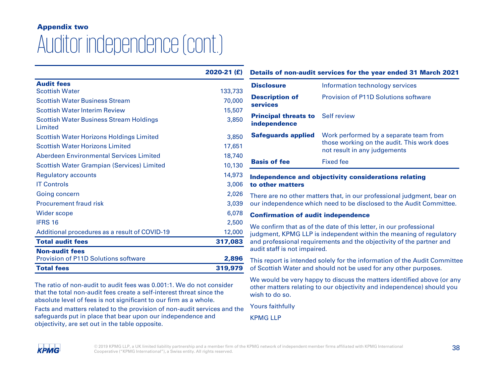# Appendix two Auditor independence (cont.)

|                                                    | 2020-21 (£) |
|----------------------------------------------------|-------------|
| <b>Audit fees</b>                                  |             |
| <b>Scottish Water</b>                              | 133,733     |
| <b>Scottish Water Business Stream</b>              | 70,000      |
| <b>Scottish Water Interim Review</b>               | 15,507      |
| Scottish Water Business Stream Holdings<br>Limited | 3,850       |
| Scottish Water Horizons Holdings Limited           | 3,850       |
| <b>Scottish Water Horizons Limited</b>             | 17,651      |
| Aberdeen Environmental Services Limited            | 18.740      |
| <b>Scottish Water Grampian (Services) Limited</b>  | 10,130      |
| Regulatory accounts                                | 14,973      |
| <b>IT Controls</b>                                 | 3,006       |
| Going concern                                      | 2,026       |
| <b>Procurement fraud risk</b>                      | 3,039       |
| Wider scope                                        | 6,078       |
| <b>IFRS 16</b>                                     | 2,500       |
| Additional procedures as a result of COVID-19      | 12,000      |
| <b>Total audit fees</b>                            | 317,083     |
| <b>Non-audit fees</b>                              |             |
| <b>Provision of P11D Solutions software</b>        | 2,896       |
| <b>Total fees</b>                                  | 319,979     |

The ratio of non-audit to audit fees was 0.001:1. We do not consider that the total non-audit fees create a self-interest threat since the absolute level of fees is not significant to our firm as a whole.

Facts and matters related to the provision of non-audit services and the safeguards put in place that bear upon our independence and objectivity, are set out in the table opposite.

### Details of non-audit services for the year ended 31 March 2021

| <b>Disclosure</b>                                       | Information technology services                                                                                      |
|---------------------------------------------------------|----------------------------------------------------------------------------------------------------------------------|
| <b>Description of</b><br><b>services</b>                | <b>Provision of P11D Solutions software</b>                                                                          |
| <b>Principal threats to</b> Self review<br>independence |                                                                                                                      |
| <b>Safeguards applied</b>                               | Work performed by a separate team from<br>those working on the audit. This work does<br>not result in any judgements |
| <b>Basis of fee</b>                                     | <b>Fixed fee</b>                                                                                                     |

### Independence and objectivity considerations relating to other matters

There are no other matters that, in our professional judgment, bear on our independence which need to be disclosed to the Audit Committee.

### Confirmation of audit independence

We confirm that as of the date of this letter, in our professional judgment, KPMG LLP is independent within the meaning of regulatory and professional requirements and the objectivity of the partner and audit staff is not impaired.

This report is intended solely for the information of the Audit Committee of Scottish Water and should not be used for any other purposes.

We would be very happy to discuss the matters identified above (or any other matters relating to our objectivity and independence) should you wish to do so.

Yours faithfully

KPMG LLP

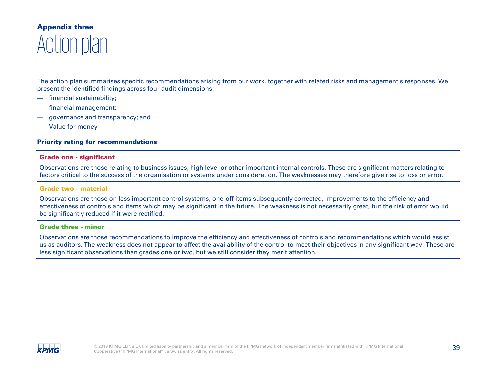### Action plan Appendix three

The action plan summarises specific recommendations arising from our work, together with related risks and management's responses. We present the identified findings across four audit dimensions:

- financial sustainability;
- financial management;
- governance and transparency; and
- Value for money

### Priority rating for recommendations

#### Grade one - significant

Observations are those relating to business issues, high level or other important internal controls. These are significant matters relating to factors critical to the success of the organisation or systems under consideration. The weaknesses may therefore give rise to loss or error.

### Grade two - material

Observations are those on less important control systems, one-off items subsequently corrected, improvements to the efficiency and effectiveness of controls and items which may be significant in the future. The weakness is not necessarily great, but the risk of error would be significantly reduced if it were rectified.

### Grade three - minor

Observations are those recommendations to improve the efficiency and effectiveness of controls and recommendations which would assist us as auditors. The weakness does not appear to affect the availability of the control to meet their objectives in any significant way. These are less significant observations than grades one or two, but we still consider they merit attention.

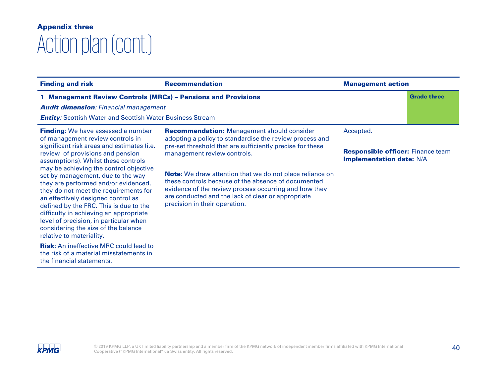| <b>Finding and risk</b>                                                                                                                                                                                                                                                                                                                                                                                                                                                                                                                                                                                       | <b>Recommendation</b>                                                                                                                                                                                                                                                                                                                                                                                                                                                              | <b>Management action</b>                                                                 |                    |
|---------------------------------------------------------------------------------------------------------------------------------------------------------------------------------------------------------------------------------------------------------------------------------------------------------------------------------------------------------------------------------------------------------------------------------------------------------------------------------------------------------------------------------------------------------------------------------------------------------------|------------------------------------------------------------------------------------------------------------------------------------------------------------------------------------------------------------------------------------------------------------------------------------------------------------------------------------------------------------------------------------------------------------------------------------------------------------------------------------|------------------------------------------------------------------------------------------|--------------------|
| 1 Management Review Controls (MRCs) - Pensions and Provisions<br><b>Audit dimension: Financial management</b><br><b>Entity:</b> Scottish Water and Scottish Water Business Stream                                                                                                                                                                                                                                                                                                                                                                                                                             |                                                                                                                                                                                                                                                                                                                                                                                                                                                                                    |                                                                                          | <b>Grade three</b> |
| <b>Finding:</b> We have assessed a number<br>of management review controls in<br>significant risk areas and estimates (i.e.<br>review of provisions and pension<br>assumptions). Whilst these controls<br>may be achieving the control objective<br>set by management, due to the way<br>they are performed and/or evidenced,<br>they do not meet the requirements for<br>an effectively designed control as<br>defined by the FRC. This is due to the<br>difficulty in achieving an appropriate<br>level of precision, in particular when<br>considering the size of the balance<br>relative to materiality. | <b>Recommendation:</b> Management should consider<br>adopting a policy to standardise the review process and<br>pre-set threshold that are sufficiently precise for these<br>management review controls.<br><b>Note:</b> We draw attention that we do not place reliance on<br>these controls because of the absence of documented<br>evidence of the review process occurring and how they<br>are conducted and the lack of clear or appropriate<br>precision in their operation. | Accepted.<br><b>Responsible officer:</b> Finance team<br><b>Implementation date: N/A</b> |                    |
| <b>Risk:</b> An ineffective MRC could lead to<br>the risk of a material misstatements in<br>the financial statements.                                                                                                                                                                                                                                                                                                                                                                                                                                                                                         |                                                                                                                                                                                                                                                                                                                                                                                                                                                                                    |                                                                                          |                    |

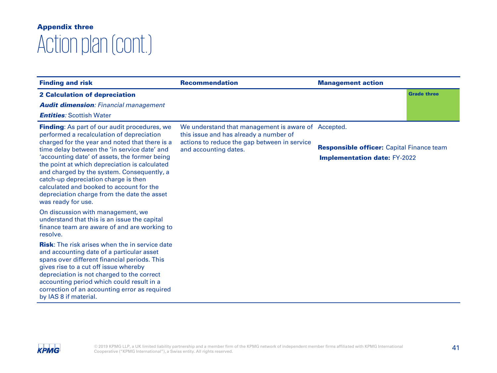| <b>Finding and risk</b>                                                                                                                                                                                                                                                                                                                                                                                                                                                                                           | <b>Recommendation</b>                                                                                                                                                  | <b>Management action</b>                                                                |                    |
|-------------------------------------------------------------------------------------------------------------------------------------------------------------------------------------------------------------------------------------------------------------------------------------------------------------------------------------------------------------------------------------------------------------------------------------------------------------------------------------------------------------------|------------------------------------------------------------------------------------------------------------------------------------------------------------------------|-----------------------------------------------------------------------------------------|--------------------|
| <b>2 Calculation of depreciation</b><br><b>Audit dimension:</b> Financial management<br><b>Entities: Scottish Water</b>                                                                                                                                                                                                                                                                                                                                                                                           |                                                                                                                                                                        |                                                                                         | <b>Grade three</b> |
| <b>Finding:</b> As part of our audit procedures, we<br>performed a recalculation of depreciation<br>charged for the year and noted that there is a<br>time delay between the 'in service date' and<br>'accounting date' of assets, the former being<br>the point at which depreciation is calculated<br>and charged by the system. Consequently, a<br>catch-up depreciation charge is then<br>calculated and booked to account for the<br>depreciation charge from the date the asset<br>was ready for use.       | We understand that management is aware of Accepted.<br>this issue and has already a number of<br>actions to reduce the gap between in service<br>and accounting dates. | <b>Responsible officer:</b> Capital Finance team<br><b>Implementation date: FY-2022</b> |                    |
| On discussion with management, we<br>understand that this is an issue the capital<br>finance team are aware of and are working to<br>resolve.<br><b>Risk:</b> The risk arises when the in service date<br>and accounting date of a particular asset<br>spans over different financial periods. This<br>gives rise to a cut off issue whereby<br>depreciation is not charged to the correct<br>accounting period which could result in a<br>correction of an accounting error as required<br>by IAS 8 if material. |                                                                                                                                                                        |                                                                                         |                    |

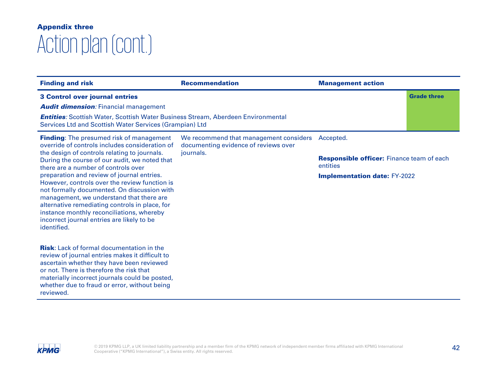| <b>Finding and risk</b>                                                                                                                                                                                                                                                                                                                                                                                                                                                                                                                                                                         | <b>Recommendation</b>                                                                       | <b>Management action</b>                                                                                         |                    |
|-------------------------------------------------------------------------------------------------------------------------------------------------------------------------------------------------------------------------------------------------------------------------------------------------------------------------------------------------------------------------------------------------------------------------------------------------------------------------------------------------------------------------------------------------------------------------------------------------|---------------------------------------------------------------------------------------------|------------------------------------------------------------------------------------------------------------------|--------------------|
| <b>3 Control over journal entries</b><br><b>Audit dimension:</b> Financial management<br><b>Entities:</b> Scottish Water, Scottish Water Business Stream, Aberdeen Environmental<br>Services Ltd and Scottish Water Services (Grampian) Ltd                                                                                                                                                                                                                                                                                                                                                     |                                                                                             |                                                                                                                  | <b>Grade three</b> |
| <b>Finding:</b> The presumed risk of management<br>override of controls includes consideration of<br>the design of controls relating to journals.<br>During the course of our audit, we noted that<br>there are a number of controls over<br>preparation and review of journal entries.<br>However, controls over the review function is<br>not formally documented. On discussion with<br>management, we understand that there are<br>alternative remediating controls in place, for<br>instance monthly reconciliations, whereby<br>incorrect journal entries are likely to be<br>identified. | We recommend that management considers<br>documenting evidence of reviews over<br>journals. | Accepted.<br><b>Responsible officer:</b> Finance team of each<br>entities<br><b>Implementation date: FY-2022</b> |                    |
| <b>Risk:</b> Lack of formal documentation in the<br>review of journal entries makes it difficult to<br>ascertain whether they have been reviewed<br>or not. There is therefore the risk that<br>materially incorrect journals could be posted,<br>whether due to fraud or error, without being<br>reviewed.                                                                                                                                                                                                                                                                                     |                                                                                             |                                                                                                                  |                    |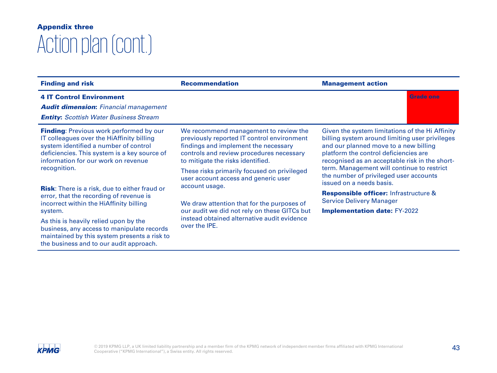| <b>Finding and risk</b>                                                                                                                                                                                                     | <b>Recommendation</b>                                                                                                                                                                                        | <b>Management action</b>                                                                                                                                                                                                              |  |
|-----------------------------------------------------------------------------------------------------------------------------------------------------------------------------------------------------------------------------|--------------------------------------------------------------------------------------------------------------------------------------------------------------------------------------------------------------|---------------------------------------------------------------------------------------------------------------------------------------------------------------------------------------------------------------------------------------|--|
| <b>4 IT Control Environment</b><br><b>Audit dimension:</b> Financial management<br><b>Entity:</b> Scottish Water Business Stream                                                                                            |                                                                                                                                                                                                              | <b>Grade one</b>                                                                                                                                                                                                                      |  |
| <b>Finding: Previous work performed by our</b><br>IT colleagues over the HiAffinity billing<br>system identified a number of control<br>deficiencies. This system is a key source of<br>information for our work on revenue | We recommend management to review the<br>previously reported IT control environment<br>findings and implement the necessary<br>controls and review procedures necessary<br>to mitigate the risks identified. | Given the system limitations of the Hi Affinity<br>billing system around limiting user privileges<br>and our planned move to a new billing<br>platform the control deficiencies are<br>recognised as an acceptable risk in the short- |  |
| recognition.                                                                                                                                                                                                                | These risks primarily focused on privileged<br>user account access and generic user<br>account usage.                                                                                                        | term. Management will continue to restrict<br>the number of privileged user accounts<br>issued on a needs basis.                                                                                                                      |  |
| <b>Risk:</b> There is a risk, due to either fraud or<br>error, that the recording of revenue is<br>incorrect within the HiAffinity billing                                                                                  | We draw attention that for the purposes of                                                                                                                                                                   | <b>Responsible officer:</b> Infrastructure &<br><b>Service Delivery Manager</b>                                                                                                                                                       |  |
| system.                                                                                                                                                                                                                     | our audit we did not rely on these GITCs but<br>instead obtained alternative audit evidence<br>over the IPE.                                                                                                 | <b>Implementation date: FY-2022</b>                                                                                                                                                                                                   |  |
| As this is heavily relied upon by the<br>business, any access to manipulate records<br>maintained by this system presents a risk to<br>the business and to our audit approach.                                              |                                                                                                                                                                                                              |                                                                                                                                                                                                                                       |  |

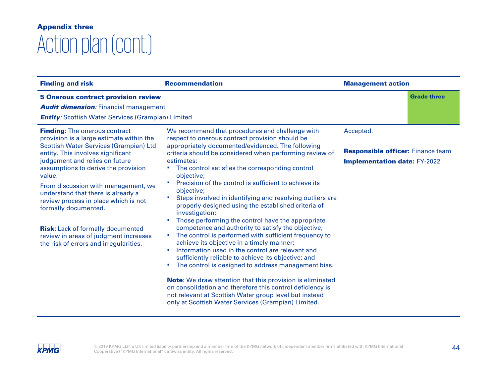| <b>Finding and risk</b>                                                                                                                                                                                                                                                                                                                                                                                                                                                                                                               | <b>Recommendation</b>                                                                                                                                                                                                                                                                                                                                                                                                                                                                                                                                                                                                                                                                                                                                                                                                                                                                                                                                                                                                                                                                                                                                                            | <b>Management action</b>                                                                     |                    |
|---------------------------------------------------------------------------------------------------------------------------------------------------------------------------------------------------------------------------------------------------------------------------------------------------------------------------------------------------------------------------------------------------------------------------------------------------------------------------------------------------------------------------------------|----------------------------------------------------------------------------------------------------------------------------------------------------------------------------------------------------------------------------------------------------------------------------------------------------------------------------------------------------------------------------------------------------------------------------------------------------------------------------------------------------------------------------------------------------------------------------------------------------------------------------------------------------------------------------------------------------------------------------------------------------------------------------------------------------------------------------------------------------------------------------------------------------------------------------------------------------------------------------------------------------------------------------------------------------------------------------------------------------------------------------------------------------------------------------------|----------------------------------------------------------------------------------------------|--------------------|
| <b>5 Onerous contract provision review</b><br><b>Audit dimension:</b> Financial management<br><b>Entity:</b> Scottish Water Services (Grampian) Limited                                                                                                                                                                                                                                                                                                                                                                               |                                                                                                                                                                                                                                                                                                                                                                                                                                                                                                                                                                                                                                                                                                                                                                                                                                                                                                                                                                                                                                                                                                                                                                                  |                                                                                              | <b>Grade three</b> |
| <b>Finding:</b> The onerous contract<br>provision is a large estimate within the<br><b>Scottish Water Services (Grampian) Ltd</b><br>entity. This involves significant<br>judgement and relies on future<br>assumptions to derive the provision<br>value.<br>From discussion with management, we<br>understand that there is already a<br>review process in place which is not<br>formally documented.<br><b>Risk:</b> Lack of formally documented<br>review in areas of judgment increases<br>the risk of errors and irregularities. | We recommend that procedures and challenge with<br>respect to onerous contract provision should be<br>appropriately documented/evidenced. The following<br>criteria should be considered when performing review of<br>estimates:<br>The control satisfies the corresponding control<br>objective;<br>Precision of the control is sufficient to achieve its<br>×<br>objective;<br>Steps involved in identifying and resolving outliers are<br>×<br>properly designed using the established criteria of<br>investigation;<br>Those performing the control have the appropriate<br>competence and authority to satisfy the objective;<br>The control is performed with sufficient frequency to<br>٠<br>achieve its objective in a timely manner;<br>Information used in the control are relevant and<br>×<br>sufficiently reliable to achieve its objective; and<br>The control is designed to address management bias.<br>and in<br><b>Note:</b> We draw attention that this provision is eliminated<br>on consolidation and therefore this control deficiency is<br>not relevant at Scottish Water group level but instead<br>only at Scottish Water Services (Grampian) Limited. | Accepted.<br><b>Responsible officer:</b> Finance team<br><b>Implementation date: FY-2022</b> |                    |

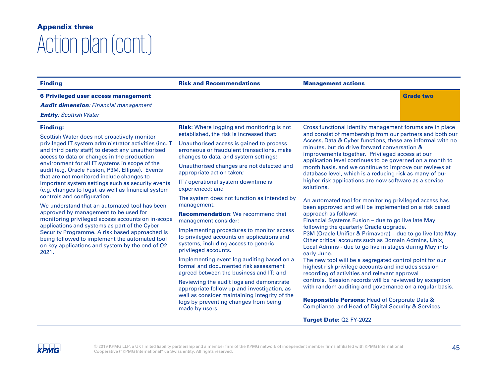| <b>Finding</b>                                                                                                                                                                                                                                                                                                                                                                                                                                                                                                                                                                                                                                                                                                                                                                                                                                                                            | <b>Risk and Recommendations</b>                                                                                                                                                                                                                                                                                                                                                                                                                                                                                                                                                                                                                                                                                                                                                                                                                 | <b>Management actions</b>                                                                                                                                                                                                                                                                                                                                                                                                                                                                                                                                                                                                                                                                                                                                                                                                                                                                                                                                                                                                                                                                                                                                                                                                  |
|-------------------------------------------------------------------------------------------------------------------------------------------------------------------------------------------------------------------------------------------------------------------------------------------------------------------------------------------------------------------------------------------------------------------------------------------------------------------------------------------------------------------------------------------------------------------------------------------------------------------------------------------------------------------------------------------------------------------------------------------------------------------------------------------------------------------------------------------------------------------------------------------|-------------------------------------------------------------------------------------------------------------------------------------------------------------------------------------------------------------------------------------------------------------------------------------------------------------------------------------------------------------------------------------------------------------------------------------------------------------------------------------------------------------------------------------------------------------------------------------------------------------------------------------------------------------------------------------------------------------------------------------------------------------------------------------------------------------------------------------------------|----------------------------------------------------------------------------------------------------------------------------------------------------------------------------------------------------------------------------------------------------------------------------------------------------------------------------------------------------------------------------------------------------------------------------------------------------------------------------------------------------------------------------------------------------------------------------------------------------------------------------------------------------------------------------------------------------------------------------------------------------------------------------------------------------------------------------------------------------------------------------------------------------------------------------------------------------------------------------------------------------------------------------------------------------------------------------------------------------------------------------------------------------------------------------------------------------------------------------|
| 6 Privileged user access management<br><b>Audit dimension:</b> Financial management<br><b>Entity: Scottish Water</b>                                                                                                                                                                                                                                                                                                                                                                                                                                                                                                                                                                                                                                                                                                                                                                      |                                                                                                                                                                                                                                                                                                                                                                                                                                                                                                                                                                                                                                                                                                                                                                                                                                                 | <b>Grade two</b>                                                                                                                                                                                                                                                                                                                                                                                                                                                                                                                                                                                                                                                                                                                                                                                                                                                                                                                                                                                                                                                                                                                                                                                                           |
| <b>Finding:</b><br>Scottish Water does not proactively monitor<br>privileged IT system administrator activities (inc.IT<br>and third party staff) to detect any unauthorised<br>access to data or changes in the production<br>environment for all IT systems in scope of the<br>audit (e.g. Oracle Fusion, P3M, Ellipse). Events<br>that are not monitored include changes to<br>important system settings such as security events<br>(e.g. changes to logs), as well as financial system<br>controls and configuration.<br>We understand that an automated tool has been<br>approved by management to be used for<br>monitoring privileged access accounts on in-scope<br>applications and systems as part of the Cyber<br>Security Programme. A risk based approached is<br>being followed to implement the automated tool<br>on key applications and system by the end of Q2<br>2021. | <b>Risk:</b> Where logging and monitoring is not<br>established, the risk is increased that:<br>Unauthorised access is gained to process<br>erroneous or fraudulent transactions, make<br>changes to data, and system settings;<br>Unauthorised changes are not detected and<br>appropriate action taken;<br>IT / operational system downtime is<br>experienced; and<br>The system does not function as intended by<br>management.<br><b>Recommendation:</b> We recommend that<br>management consider:<br>Implementing procedures to monitor access<br>to privileged accounts on applications and<br>systems, including access to generic<br>privileged accounts.<br>Implementing event log auditing based on a<br>formal and documented risk assessment<br>agreed between the business and IT; and<br>Reviewing the audit logs and demonstrate | Cross functional identity management forums are in place<br>and consist of membership from our partners and both our<br>Access, Data & Cyber functions, these are informal with no<br>minutes, but do drive forward conversation &<br>improvements together. Privileged access at our<br>application level continues to be governed on a month to<br>month basis, and we continue to improve our reviews at<br>database level, which is a reducing risk as many of our<br>higher risk applications are now software as a service<br>solutions.<br>An automated tool for monitoring privileged access has<br>been approved and will be implemented on a risk based<br>approach as follows:<br>Financial Systems Fusion - due to go live late May<br>following the quarterly Oracle upgrade.<br>P3M (Oracle Unifier & Primavera) - due to go live late May.<br>Other critical accounts such as Domain Admins, Unix,<br>Local Admins - due to go live in stages during May into<br>early June.<br>The new tool will be a segregated control point for our<br>highest risk privilege accounts and includes session<br>recording of activities and relevant approval<br>controls. Session records will be reviewed by exception |
|                                                                                                                                                                                                                                                                                                                                                                                                                                                                                                                                                                                                                                                                                                                                                                                                                                                                                           | appropriate follow up and investigation, as<br>well as consider maintaining integrity of the<br>logs by preventing changes from being                                                                                                                                                                                                                                                                                                                                                                                                                                                                                                                                                                                                                                                                                                           | with random auditing and governance on a regular basis.<br><b>Responsible Persons: Head of Corporate Data &amp;</b>                                                                                                                                                                                                                                                                                                                                                                                                                                                                                                                                                                                                                                                                                                                                                                                                                                                                                                                                                                                                                                                                                                        |

Compliance, and Head of Digital Security & Services.

Target Date: Q2 FY-2022

### **KPMG**

made by users.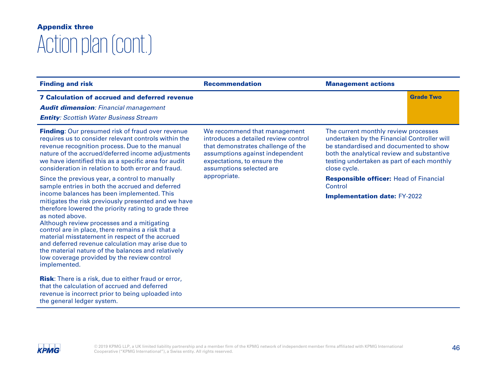| <b>Finding and risk</b>                                                                                                                                                                                                                                                                                                                                                                                                                                                                                                                                                                                                                                                                                                                                                                                             | <b>Recommendation</b>                                                                                                                                                                                    | <b>Management actions</b>                                                                                                                                                                                                                 |
|---------------------------------------------------------------------------------------------------------------------------------------------------------------------------------------------------------------------------------------------------------------------------------------------------------------------------------------------------------------------------------------------------------------------------------------------------------------------------------------------------------------------------------------------------------------------------------------------------------------------------------------------------------------------------------------------------------------------------------------------------------------------------------------------------------------------|----------------------------------------------------------------------------------------------------------------------------------------------------------------------------------------------------------|-------------------------------------------------------------------------------------------------------------------------------------------------------------------------------------------------------------------------------------------|
| <b>7 Calculation of accrued and deferred revenue</b><br><b>Audit dimension: Financial management</b><br><b>Entity:</b> Scottish Water Business Stream                                                                                                                                                                                                                                                                                                                                                                                                                                                                                                                                                                                                                                                               |                                                                                                                                                                                                          | <b>Grade Two</b>                                                                                                                                                                                                                          |
| Finding: Our presumed risk of fraud over revenue<br>requires us to consider relevant controls within the<br>revenue recognition process. Due to the manual<br>nature of the accrued/deferred income adjustments<br>we have identified this as a specific area for audit<br>consideration in relation to both error and fraud.                                                                                                                                                                                                                                                                                                                                                                                                                                                                                       | We recommend that management<br>introduces a detailed review control<br>that demonstrates challenge of the<br>assumptions against independent<br>expectations, to ensure the<br>assumptions selected are | The current monthly review processes<br>undertaken by the Financial Controller will<br>be standardised and documented to show<br>both the analytical review and substantive<br>testing undertaken as part of each monthly<br>close cycle. |
| Since the previous year, a control to manually<br>sample entries in both the accrued and deferred<br>income balances has been implemented. This<br>mitigates the risk previously presented and we have<br>therefore lowered the priority rating to grade three<br>as noted above.<br>Although review processes and a mitigating<br>control are in place, there remains a risk that a<br>material misstatement in respect of the accrued<br>and deferred revenue calculation may arise due to<br>the material nature of the balances and relatively<br>low coverage provided by the review control<br>implemented.<br><b>Risk:</b> There is a risk, due to either fraud or error,<br>that the calculation of accrued and deferred<br>revenue is incorrect prior to being uploaded into<br>the general ledger system. | appropriate.                                                                                                                                                                                             | <b>Responsible officer: Head of Financial</b><br>Control<br><b>Implementation date: FY-2022</b>                                                                                                                                           |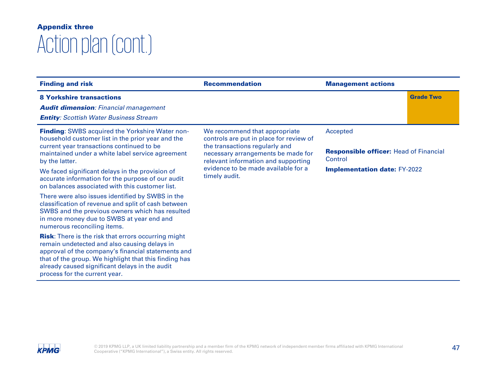| <b>Finding and risk</b>                                                                                                                                                                                                                                                                                                                                                                   | <b>Recommendation</b>                                                                                                                                                                                                                           | <b>Management actions</b>                                                                                   |  |
|-------------------------------------------------------------------------------------------------------------------------------------------------------------------------------------------------------------------------------------------------------------------------------------------------------------------------------------------------------------------------------------------|-------------------------------------------------------------------------------------------------------------------------------------------------------------------------------------------------------------------------------------------------|-------------------------------------------------------------------------------------------------------------|--|
| <b>8 Yorkshire transactions</b><br><b>Audit dimension: Financial management</b><br><b>Entity: Scottish Water Business Stream</b>                                                                                                                                                                                                                                                          |                                                                                                                                                                                                                                                 | <b>Grade Two</b>                                                                                            |  |
| <b>Finding:</b> SWBS acquired the Yorkshire Water non-<br>household customer list in the prior year and the<br>current year transactions continued to be<br>maintained under a white label service agreement<br>by the latter.<br>We faced significant delays in the provision of<br>accurate information for the purpose of our audit<br>on balances associated with this customer list. | We recommend that appropriate<br>controls are put in place for review of<br>the transactions regularly and<br>necessary arrangements be made for<br>relevant information and supporting<br>evidence to be made available for a<br>timely audit. | Accepted<br><b>Responsible officer:</b> Head of Financial<br>Control<br><b>Implementation date: FY-2022</b> |  |
| There were also issues identified by SWBS in the<br>classification of revenue and split of cash between<br>SWBS and the previous owners which has resulted<br>in more money due to SWBS at year end and<br>numerous reconciling items.                                                                                                                                                    |                                                                                                                                                                                                                                                 |                                                                                                             |  |
| <b>Risk:</b> There is the risk that errors occurring might<br>remain undetected and also causing delays in<br>approval of the company's financial statements and<br>that of the group. We highlight that this finding has<br>already caused significant delays in the audit<br>process for the current year.                                                                              |                                                                                                                                                                                                                                                 |                                                                                                             |  |

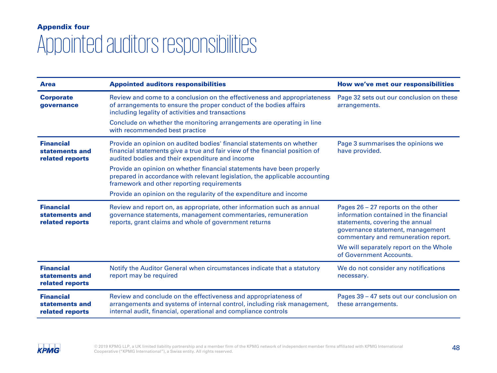# Appointed auditors responsibilities Appendix four

| <b>Area</b>                                           | <b>Appointed auditors responsibilities</b>                                                                                                                                                                    | How we've met our responsibilities                                                                                                                                                                                                                                |
|-------------------------------------------------------|---------------------------------------------------------------------------------------------------------------------------------------------------------------------------------------------------------------|-------------------------------------------------------------------------------------------------------------------------------------------------------------------------------------------------------------------------------------------------------------------|
| <b>Corporate</b><br>governance                        | Review and come to a conclusion on the effectiveness and appropriateness<br>of arrangements to ensure the proper conduct of the bodies affairs<br>including legality of activities and transactions           | Page 32 sets out our conclusion on these<br>arrangements.                                                                                                                                                                                                         |
|                                                       | Conclude on whether the monitoring arrangements are operating in line<br>with recommended best practice                                                                                                       |                                                                                                                                                                                                                                                                   |
| <b>Financial</b><br>statements and<br>related reports | Provide an opinion on audited bodies' financial statements on whether<br>financial statements give a true and fair view of the financial position of<br>audited bodies and their expenditure and income       | Page 3 summarises the opinions we<br>have provided.                                                                                                                                                                                                               |
|                                                       | Provide an opinion on whether financial statements have been properly<br>prepared in accordance with relevant legislation, the applicable accounting<br>framework and other reporting requirements            |                                                                                                                                                                                                                                                                   |
|                                                       | Provide an opinion on the regularity of the expenditure and income                                                                                                                                            |                                                                                                                                                                                                                                                                   |
| <b>Financial</b><br>statements and<br>related reports | Review and report on, as appropriate, other information such as annual<br>governance statements, management commentaries, remuneration<br>reports, grant claims and whole of government returns               | Pages $26 - 27$ reports on the other<br>information contained in the financial<br>statements, covering the annual<br>governance statement, management<br>commentary and remuneration report.<br>We will separately report on the Whole<br>of Government Accounts. |
| <b>Financial</b><br>statements and<br>related reports | Notify the Auditor General when circumstances indicate that a statutory<br>report may be required                                                                                                             | We do not consider any notifications<br>necessary.                                                                                                                                                                                                                |
| <b>Financial</b><br>statements and<br>related reports | Review and conclude on the effectiveness and appropriateness of<br>arrangements and systems of internal control, including risk management,<br>internal audit, financial, operational and compliance controls | Pages 39 – 47 sets out our conclusion on<br>these arrangements.                                                                                                                                                                                                   |

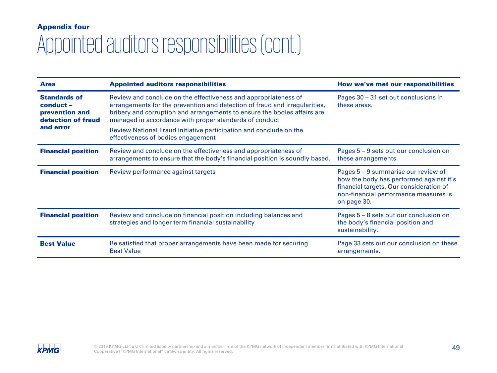# Appointed auditors responsibilities (cont.) Appendix four

| <b>Area</b>                                                                           | <b>Appointed auditors responsibilities</b>                                                                                                                                                                                                                                                                                                                                                      | How we've met our responsibilities                                                                                                                                                |
|---------------------------------------------------------------------------------------|-------------------------------------------------------------------------------------------------------------------------------------------------------------------------------------------------------------------------------------------------------------------------------------------------------------------------------------------------------------------------------------------------|-----------------------------------------------------------------------------------------------------------------------------------------------------------------------------------|
| <b>Standards of</b><br>conduct -<br>prevention and<br>detection of fraud<br>and error | Review and conclude on the effectiveness and appropriateness of<br>arrangements for the prevention and detection of fraud and irregularities,<br>bribery and corruption and arrangements to ensure the bodies affairs are<br>managed in accordance with proper standards of conduct<br>Review National Fraud Initiative participation and conclude on the<br>effectiveness of bodies engagement | Pages 30 – 31 set out conclusions in<br>these areas.                                                                                                                              |
|                                                                                       |                                                                                                                                                                                                                                                                                                                                                                                                 |                                                                                                                                                                                   |
| <b>Financial position</b>                                                             | Review and conclude on the effectiveness and appropriateness of<br>arrangements to ensure that the body's financial position is soundly based.                                                                                                                                                                                                                                                  | Pages $5 - 9$ sets out our conclusion on<br>these arrangements.                                                                                                                   |
| <b>Financial position</b>                                                             | Review performance against targets                                                                                                                                                                                                                                                                                                                                                              | Pages 5 – 9 summarise our review of<br>how the body has performed against it's<br>financial targets. Our consideration of<br>non-financial performance measures is<br>on page 30. |
| <b>Financial position</b>                                                             | Review and conclude on financial position including balances and<br>strategies and longer term financial sustainability                                                                                                                                                                                                                                                                         | Pages 5 – 8 sets out our conclusion on<br>the body's financial position and<br>sustainability.                                                                                    |
| <b>Best Value</b>                                                                     | Be satisfied that proper arrangements have been made for securing<br><b>Best Value</b>                                                                                                                                                                                                                                                                                                          | Page 33 sets out our conclusion on these<br>arrangements.                                                                                                                         |

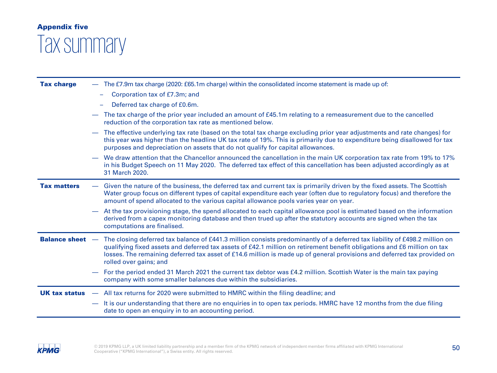### Appendix five

# Tax summary

| <b>Tax charge</b>    | - The £7.9m tax charge (2020: £65.1m charge) within the consolidated income statement is made up of:                                                                                                                                                                                                                                                                                                                               |
|----------------------|------------------------------------------------------------------------------------------------------------------------------------------------------------------------------------------------------------------------------------------------------------------------------------------------------------------------------------------------------------------------------------------------------------------------------------|
|                      | Corporation tax of £7.3m; and<br>$\overline{\phantom{0}}$                                                                                                                                                                                                                                                                                                                                                                          |
|                      | Deferred tax charge of £0.6m.                                                                                                                                                                                                                                                                                                                                                                                                      |
|                      | The tax charge of the prior year included an amount of £45.1m relating to a remeasurement due to the cancelled<br>$\overline{\phantom{0}}$<br>reduction of the corporation tax rate as mentioned below.                                                                                                                                                                                                                            |
|                      | The effective underlying tax rate (based on the total tax charge excluding prior year adjustments and rate changes) for<br>this year was higher than the headline UK tax rate of 19%. This is primarily due to expenditure being disallowed for tax<br>purposes and depreciation on assets that do not qualify for capital allowances.                                                                                             |
|                      | We draw attention that the Chancellor announced the cancellation in the main UK corporation tax rate from 19% to 17%<br>in his Budget Speech on 11 May 2020. The deferred tax effect of this cancellation has been adjusted accordingly as at<br>31 March 2020.                                                                                                                                                                    |
| <b>Tax matters</b>   | Given the nature of the business, the deferred tax and current tax is primarily driven by the fixed assets. The Scottish<br>Water group focus on different types of capital expenditure each year (often due to regulatory focus) and therefore the<br>amount of spend allocated to the various capital allowance pools varies year on year.                                                                                       |
|                      | At the tax provisioning stage, the spend allocated to each capital allowance pool is estimated based on the information<br>$\overline{\phantom{0}}$<br>derived from a capex monitoring database and then trued up after the statutory accounts are signed when the tax<br>computations are finalised.                                                                                                                              |
|                      | <b>Balance sheet</b> - The closing deferred tax balance of £441.3 million consists predominantly of a deferred tax liability of £498.2 million on<br>qualifying fixed assets and deferred tax assets of £42.1 million on retirement benefit obligations and £6 million on tax<br>losses. The remaining deferred tax asset of £14.6 million is made up of general provisions and deferred tax provided on<br>rolled over gains; and |
|                      | For the period ended 31 March 2021 the current tax debtor was £4.2 million. Scottish Water is the main tax paying<br>$\overline{\phantom{0}}$<br>company with some smaller balances due within the subsidiaries.                                                                                                                                                                                                                   |
| <b>UK tax status</b> | - All tax returns for 2020 were submitted to HMRC within the filing deadline; and                                                                                                                                                                                                                                                                                                                                                  |
|                      | - It is our understanding that there are no enquiries in to open tax periods. HMRC have 12 months from the due filing<br>date to open an enquiry in to an accounting period.                                                                                                                                                                                                                                                       |

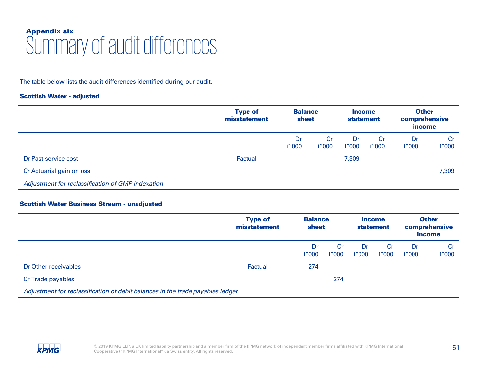### Summary of audit differences Appendix six

The table below lists the audit differences identified during our audit.

### Scottish Water - adjusted

|                                                   | <b>Type of</b><br>misstatement | <b>Balance</b><br>sheet |             |             |                    |             | <b>Income</b><br><b>statement</b> | <b>Other</b><br>comprehensive<br><i>income</i> |  |
|---------------------------------------------------|--------------------------------|-------------------------|-------------|-------------|--------------------|-------------|-----------------------------------|------------------------------------------------|--|
|                                                   |                                | Dr<br>f'000             | Cr<br>f'000 | Dr<br>f'000 | <b>Cr</b><br>f'000 | Dr<br>f'000 | Cr<br>f'000                       |                                                |  |
| Dr Past service cost                              | Factual                        |                         |             | 7,309       |                    |             |                                   |                                                |  |
| Cr Actuarial gain or loss                         |                                |                         |             |             |                    |             | 7,309                             |                                                |  |
| Adjustment for reclassification of GMP indexation |                                |                         |             |             |                    |             |                                   |                                                |  |

### Scottish Water Business Stream - unadjusted

|                                                                                | <b>Type of</b><br>misstatement | <b>Balance</b><br>sheet |             |             | <b>Income</b><br><b>statement</b> | <b>Other</b><br>comprehensive<br><i>income</i> |             |
|--------------------------------------------------------------------------------|--------------------------------|-------------------------|-------------|-------------|-----------------------------------|------------------------------------------------|-------------|
|                                                                                |                                | Dr<br>f'000             | Cr<br>f'000 | Dr<br>f'000 | Cr<br>f'000                       | Dr<br>f'000                                    | Cr<br>f'000 |
| Dr Other receivables                                                           | Factual                        | 274                     |             |             |                                   |                                                |             |
| Cr Trade payables                                                              |                                |                         | 274         |             |                                   |                                                |             |
| Adjustment for reclassification of debit balances in the trade payables ledger |                                |                         |             |             |                                   |                                                |             |

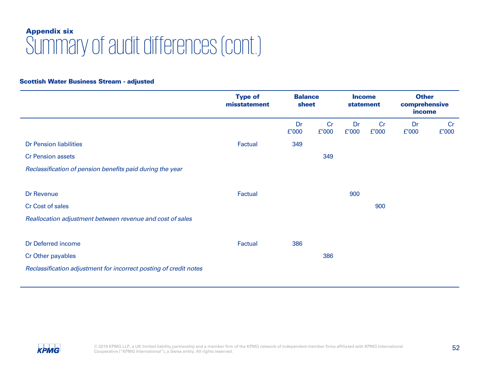### Summary of audit differences (cont.) Appendix six

### Scottish Water Business Stream - adjusted

|                                                                   | <b>Type of</b><br>misstatement | <b>Balance</b><br>sheet |             | <b>Income</b><br><b>statement</b> |             | <b>Other</b><br>comprehensive<br>income |             |
|-------------------------------------------------------------------|--------------------------------|-------------------------|-------------|-----------------------------------|-------------|-----------------------------------------|-------------|
|                                                                   |                                | Dr<br>f'000             | Cr<br>E'000 | Dr<br>f'000                       | Cr<br>f'000 | Dr<br>f'000                             | Cr<br>£'000 |
| <b>Dr Pension liabilities</b>                                     | Factual                        | 349                     |             |                                   |             |                                         |             |
| <b>Cr Pension assets</b>                                          |                                |                         | 349         |                                   |             |                                         |             |
| Reclassification of pension benefits paid during the year         |                                |                         |             |                                   |             |                                         |             |
|                                                                   |                                |                         |             |                                   |             |                                         |             |
| Dr Revenue                                                        | Factual                        |                         |             | 900                               |             |                                         |             |
| Cr Cost of sales                                                  |                                |                         |             |                                   | 900         |                                         |             |
| Reallocation adjustment between revenue and cost of sales         |                                |                         |             |                                   |             |                                         |             |
|                                                                   |                                |                         |             |                                   |             |                                         |             |
| Dr Deferred income                                                | Factual                        | 386                     |             |                                   |             |                                         |             |
| Cr Other payables                                                 |                                |                         | 386         |                                   |             |                                         |             |
| Reclassification adjustment for incorrect posting of credit notes |                                |                         |             |                                   |             |                                         |             |

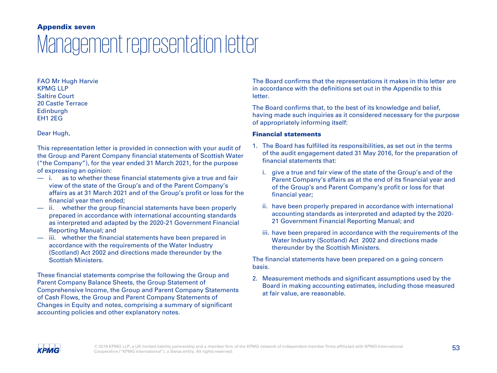### Management representation letter Appendix seven

FAO Mr Hugh Harvie KPMG LLP Saltire Court 20 Castle Terrace **Edinburgh** EH1 2EG

Dear Hugh,

This representation letter is provided in connection with your audit of the Group and Parent Company financial statements of Scottish Water ("the Company"), for the year ended 31 March 2021, for the purpose of expressing an opinion:

- i. as to whether these financial statements give a true and fair view of the state of the Group's and of the Parent Company's affairs as at 31 March 2021 and of the Group's profit or loss for the financial year then ended;
- ii. whether the group financial statements have been properly prepared in accordance with international accounting standards as interpreted and adapted by the 2020-21 Government Financial Reporting Manual; and
- iii. whether the financial statements have been prepared in accordance with the requirements of the Water Industry (Scotland) Act 2002 and directions made thereunder by the Scottish Ministers.

These financial statements comprise the following the Group and Parent Company Balance Sheets, the Group Statement of Comprehensive Income, the Group and Parent Company Statements of Cash Flows, the Group and Parent Company Statements of Changes in Equity and notes, comprising a summary of significant accounting policies and other explanatory notes.

The Board confirms that the representations it makes in this letter are in accordance with the definitions set out in the Appendix to this letter.

The Board confirms that, to the best of its knowledge and belief, having made such inquiries as it considered necessary for the purpose of appropriately informing itself:

### Financial statements

- 1. The Board has fulfilled its responsibilities, as set out in the terms of the audit engagement dated 31 May 2016, for the preparation of financial statements that:
	- i. give a true and fair view of the state of the Group's and of the Parent Company's affairs as at the end of its financial year and of the Group's and Parent Company's profit or loss for that financial year;
	- ii. have been properly prepared in accordance with international accounting standards as interpreted and adapted by the 2020- 21 Government Financial Reporting Manual; and
	- iii. have been prepared in accordance with the requirements of the Water Industry (Scotland) Act 2002 and directions made thereunder by the Scottish Ministers.

The financial statements have been prepared on a going concern basis.

2. Measurement methods and significant assumptions used by the Board in making accounting estimates, including those measured at fair value, are reasonable.

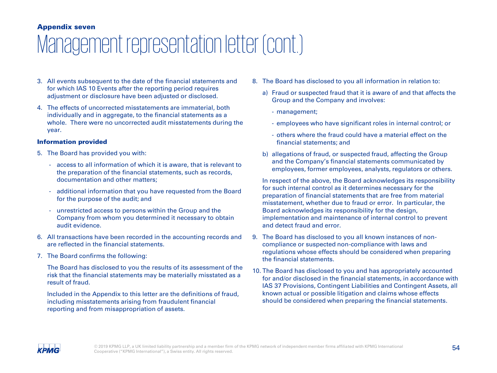### Appendix seven

# Management representation letter (cont.)

- 3. All events subsequent to the date of the financial statements and for which IAS 10 Events after the reporting period requires adjustment or disclosure have been adjusted or disclosed.
- 4. The effects of uncorrected misstatements are immaterial, both individually and in aggregate, to the financial statements as a whole. There were no uncorrected audit misstatements during the year.

### Information provided

- 5. The Board has provided you with:
	- access to all information of which it is aware, that is relevant to the preparation of the financial statements, such as records, documentation and other matters;
	- additional information that you have requested from the Board for the purpose of the audit; and
	- unrestricted access to persons within the Group and the Company from whom you determined it necessary to obtain audit evidence.
- 6. All transactions have been recorded in the accounting records and are reflected in the financial statements.
- 7. The Board confirms the following:

The Board has disclosed to you the results of its assessment of the risk that the financial statements may be materially misstated as a result of fraud.

Included in the Appendix to this letter are the definitions of fraud, including misstatements arising from fraudulent financial reporting and from misappropriation of assets.

- 8. The Board has disclosed to you all information in relation to:
	- a) Fraud or suspected fraud that it is aware of and that affects the Group and the Company and involves:
		- management;
		- employees who have significant roles in internal control; or
		- others where the fraud could have a material effect on the financial statements; and
	- b) allegations of fraud, or suspected fraud, affecting the Group and the Company's financial statements communicated by employees, former employees, analysts, regulators or others.

In respect of the above, the Board acknowledges its responsibility for such internal control as it determines necessary for the preparation of financial statements that are free from material misstatement, whether due to fraud or error. In particular, the Board acknowledges its responsibility for the design, implementation and maintenance of internal control to prevent and detect fraud and error.

- 9. The Board has disclosed to you all known instances of noncompliance or suspected non-compliance with laws and regulations whose effects should be considered when preparing the financial statements.
- 10. The Board has disclosed to you and has appropriately accounted for and/or disclosed in the financial statements, in accordance with IAS 37 Provisions, Contingent Liabilities and Contingent Assets, all known actual or possible litigation and claims whose effects should be considered when preparing the financial statements.

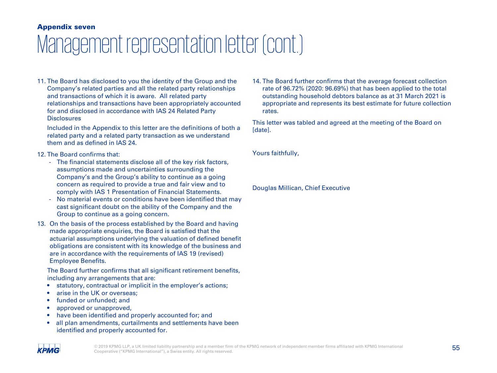### Appendix seven

# Management representation letter (cont.)

11. The Board has disclosed to you the identity of the Group and the Company's related parties and all the related party relationships and transactions of which it is aware. All related party relationships and transactions have been appropriately accounted for and disclosed in accordance with IAS 24 Related Party **Disclosures** 

Included in the Appendix to this letter are the definitions of both a related party and a related party transaction as we understand them and as defined in IAS 24.

### 12. The Board confirms that:

- The financial statements disclose all of the key risk factors, assumptions made and uncertainties surrounding the Company's and the Group's ability to continue as a going concern as required to provide a true and fair view and to comply with IAS 1 Presentation of Financial Statements.
- No material events or conditions have been identified that may cast significant doubt on the ability of the Company and the Group to continue as a going concern.
- 13. On the basis of the process established by the Board and having made appropriate enquiries, the Board is satisfied that the actuarial assumptions underlying the valuation of defined benefit obligations are consistent with its knowledge of the business and are in accordance with the requirements of IAS 19 (revised) Employee Benefits.

The Board further confirms that all significant retirement benefits, including any arrangements that are:

- statutory, contractual or implicit in the employer's actions;
- arise in the UK or overseas;
- funded or unfunded; and
- approved or unapproved,
- have been identified and properly accounted for; and
- all plan amendments, curtailments and settlements have been identified and properly accounted for.

14. The Board further confirms that the average forecast collection rate of 96.72% (2020: 96.69%) that has been applied to the total outstanding household debtors balance as at 31 March 2021 is appropriate and represents its best estimate for future collection rates.

This letter was tabled and agreed at the meeting of the Board on [date].

Yours faithfully,

Douglas Millican, Chief Executive